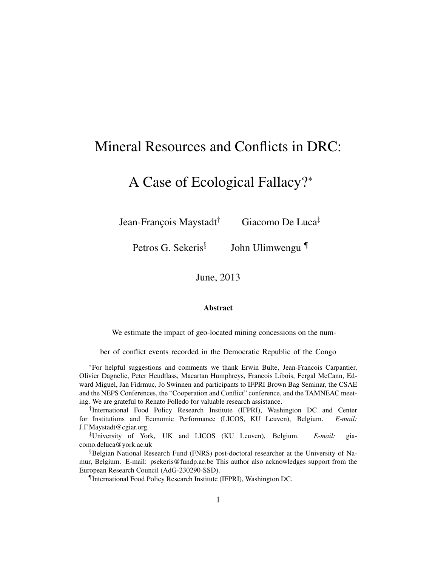# Mineral Resources and Conflicts in DRC:

# A Case of Ecological Fallacy?<sup>∗</sup>

Jean-François Maystadt† Giacomo De Luca‡

Petros G. Sekeris<sup>§</sup> John Ulimwengu ¶

June, 2013

#### Abstract

We estimate the impact of geo-located mining concessions on the num-

ber of conflict events recorded in the Democratic Republic of the Congo

<sup>∗</sup>For helpful suggestions and comments we thank Erwin Bulte, Jean-Francois Carpantier, Olivier Dagnelie, Peter Heudtlass, Macartan Humphreys, Francois Libois, Fergal McCann, Edward Miguel, Jan Fidrmuc, Jo Swinnen and participants to IFPRI Brown Bag Seminar, the CSAE and the NEPS Conferences, the "Cooperation and Conflict" conference, and the TAMNEAC meeting. We are grateful to Renato Folledo for valuable research assistance.

<sup>†</sup> International Food Policy Research Institute (IFPRI), Washington DC and Center for Institutions and Economic Performance (LICOS, KU Leuven), Belgium. *E-mail:* J.F.Maystadt@cgiar.org.

<sup>‡</sup>University of York, UK and LICOS (KU Leuven), Belgium. *E-mail:* giacomo.deluca@york.ac.uk

<sup>§</sup>Belgian National Research Fund (FNRS) post-doctoral researcher at the University of Namur, Belgium. E-mail: psekeris@fundp.ac.be This author also acknowledges support from the European Research Council (AdG-230290-SSD).

<sup>¶</sup>International Food Policy Research Institute (IFPRI), Washington DC.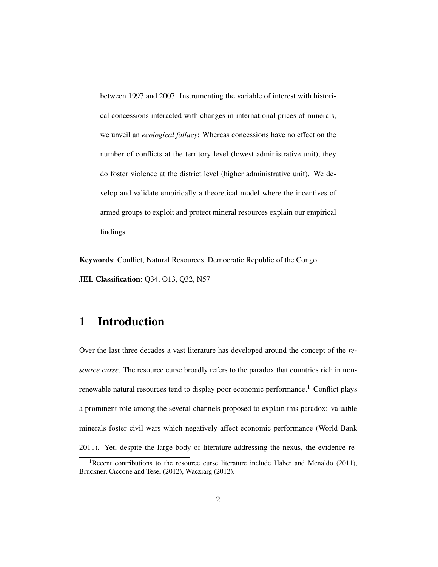between 1997 and 2007. Instrumenting the variable of interest with historical concessions interacted with changes in international prices of minerals, we unveil an *ecological fallacy*: Whereas concessions have no effect on the number of conflicts at the territory level (lowest administrative unit), they do foster violence at the district level (higher administrative unit). We develop and validate empirically a theoretical model where the incentives of armed groups to exploit and protect mineral resources explain our empirical findings.

Keywords: Conflict, Natural Resources, Democratic Republic of the Congo JEL Classification: Q34, O13, Q32, N57

### 1 Introduction

Over the last three decades a vast literature has developed around the concept of the *resource curse*. The resource curse broadly refers to the paradox that countries rich in nonrenewable natural resources tend to display poor economic performance.<sup>1</sup> Conflict plays a prominent role among the several channels proposed to explain this paradox: valuable minerals foster civil wars which negatively affect economic performance (World Bank 2011). Yet, despite the large body of literature addressing the nexus, the evidence re-

<sup>&</sup>lt;sup>1</sup>Recent contributions to the resource curse literature include Haber and Menaldo (2011), Bruckner, Ciccone and Tesei (2012), Wacziarg (2012).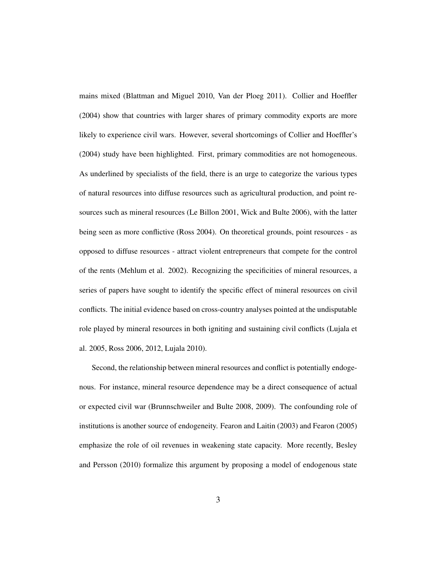mains mixed (Blattman and Miguel 2010, Van der Ploeg 2011). Collier and Hoeffler (2004) show that countries with larger shares of primary commodity exports are more likely to experience civil wars. However, several shortcomings of Collier and Hoeffler's (2004) study have been highlighted. First, primary commodities are not homogeneous. As underlined by specialists of the field, there is an urge to categorize the various types of natural resources into diffuse resources such as agricultural production, and point resources such as mineral resources (Le Billon 2001, Wick and Bulte 2006), with the latter being seen as more conflictive (Ross 2004). On theoretical grounds, point resources - as opposed to diffuse resources - attract violent entrepreneurs that compete for the control of the rents (Mehlum et al. 2002). Recognizing the specificities of mineral resources, a series of papers have sought to identify the specific effect of mineral resources on civil conflicts. The initial evidence based on cross-country analyses pointed at the undisputable role played by mineral resources in both igniting and sustaining civil conflicts (Lujala et al. 2005, Ross 2006, 2012, Lujala 2010).

Second, the relationship between mineral resources and conflict is potentially endogenous. For instance, mineral resource dependence may be a direct consequence of actual or expected civil war (Brunnschweiler and Bulte 2008, 2009). The confounding role of institutions is another source of endogeneity. Fearon and Laitin (2003) and Fearon (2005) emphasize the role of oil revenues in weakening state capacity. More recently, Besley and Persson (2010) formalize this argument by proposing a model of endogenous state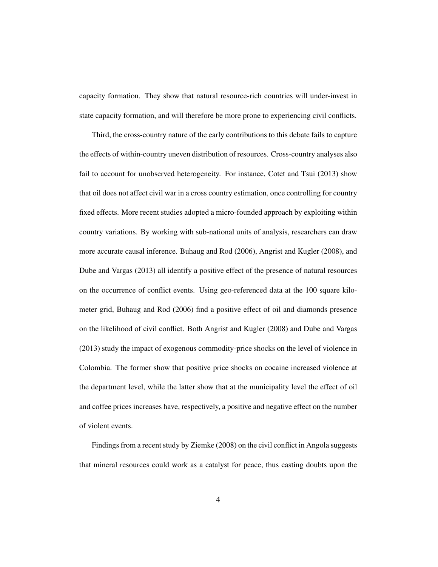capacity formation. They show that natural resource-rich countries will under-invest in state capacity formation, and will therefore be more prone to experiencing civil conflicts.

Third, the cross-country nature of the early contributions to this debate fails to capture the effects of within-country uneven distribution of resources. Cross-country analyses also fail to account for unobserved heterogeneity. For instance, Cotet and Tsui (2013) show that oil does not affect civil war in a cross country estimation, once controlling for country fixed effects. More recent studies adopted a micro-founded approach by exploiting within country variations. By working with sub-national units of analysis, researchers can draw more accurate causal inference. Buhaug and Rod (2006), Angrist and Kugler (2008), and Dube and Vargas (2013) all identify a positive effect of the presence of natural resources on the occurrence of conflict events. Using geo-referenced data at the 100 square kilometer grid, Buhaug and Rod (2006) find a positive effect of oil and diamonds presence on the likelihood of civil conflict. Both Angrist and Kugler (2008) and Dube and Vargas (2013) study the impact of exogenous commodity-price shocks on the level of violence in Colombia. The former show that positive price shocks on cocaine increased violence at the department level, while the latter show that at the municipality level the effect of oil and coffee prices increases have, respectively, a positive and negative effect on the number of violent events.

Findings from a recent study by Ziemke (2008) on the civil conflict in Angola suggests that mineral resources could work as a catalyst for peace, thus casting doubts upon the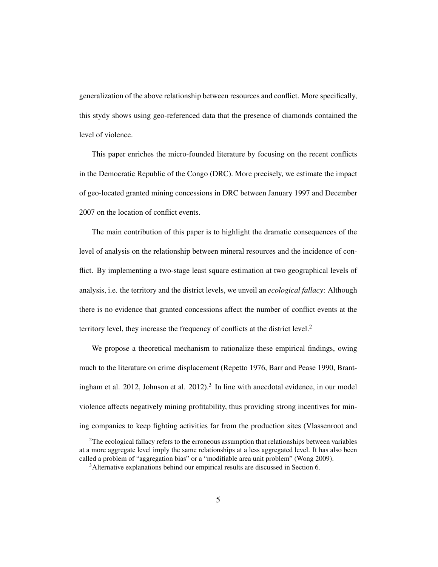generalization of the above relationship between resources and conflict. More specifically, this stydy shows using geo-referenced data that the presence of diamonds contained the level of violence.

This paper enriches the micro-founded literature by focusing on the recent conflicts in the Democratic Republic of the Congo (DRC). More precisely, we estimate the impact of geo-located granted mining concessions in DRC between January 1997 and December 2007 on the location of conflict events.

The main contribution of this paper is to highlight the dramatic consequences of the level of analysis on the relationship between mineral resources and the incidence of conflict. By implementing a two-stage least square estimation at two geographical levels of analysis, i.e. the territory and the district levels, we unveil an *ecological fallacy*: Although there is no evidence that granted concessions affect the number of conflict events at the territory level, they increase the frequency of conflicts at the district level.<sup>2</sup>

We propose a theoretical mechanism to rationalize these empirical findings, owing much to the literature on crime displacement (Repetto 1976, Barr and Pease 1990, Brantingham et al.  $2012$ , Johnson et al.  $2012$ ).<sup>3</sup> In line with anecdotal evidence, in our model violence affects negatively mining profitability, thus providing strong incentives for mining companies to keep fighting activities far from the production sites (Vlassenroot and

 $2$ The ecological fallacy refers to the erroneous assumption that relationships between variables at a more aggregate level imply the same relationships at a less aggregated level. It has also been called a problem of "aggregation bias" or a "modifiable area unit problem" (Wong 2009).

<sup>&</sup>lt;sup>3</sup> Alternative explanations behind our empirical results are discussed in Section 6.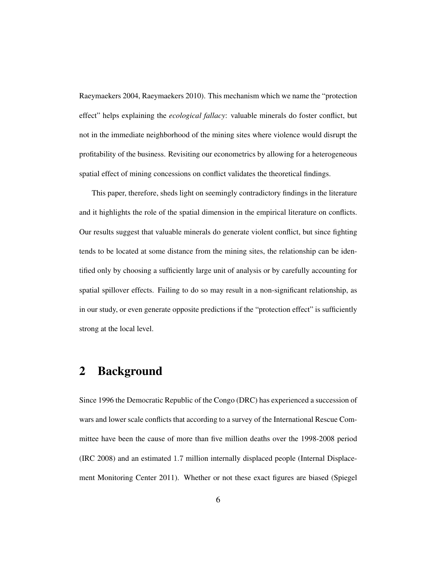Raeymaekers 2004, Raeymaekers 2010). This mechanism which we name the "protection effect" helps explaining the *ecological fallacy*: valuable minerals do foster conflict, but not in the immediate neighborhood of the mining sites where violence would disrupt the profitability of the business. Revisiting our econometrics by allowing for a heterogeneous spatial effect of mining concessions on conflict validates the theoretical findings.

This paper, therefore, sheds light on seemingly contradictory findings in the literature and it highlights the role of the spatial dimension in the empirical literature on conflicts. Our results suggest that valuable minerals do generate violent conflict, but since fighting tends to be located at some distance from the mining sites, the relationship can be identified only by choosing a sufficiently large unit of analysis or by carefully accounting for spatial spillover effects. Failing to do so may result in a non-significant relationship, as in our study, or even generate opposite predictions if the "protection effect" is sufficiently strong at the local level.

### 2 Background

Since 1996 the Democratic Republic of the Congo (DRC) has experienced a succession of wars and lower scale conflicts that according to a survey of the International Rescue Committee have been the cause of more than five million deaths over the 1998-2008 period (IRC 2008) and an estimated 1.7 million internally displaced people (Internal Displacement Monitoring Center 2011). Whether or not these exact figures are biased (Spiegel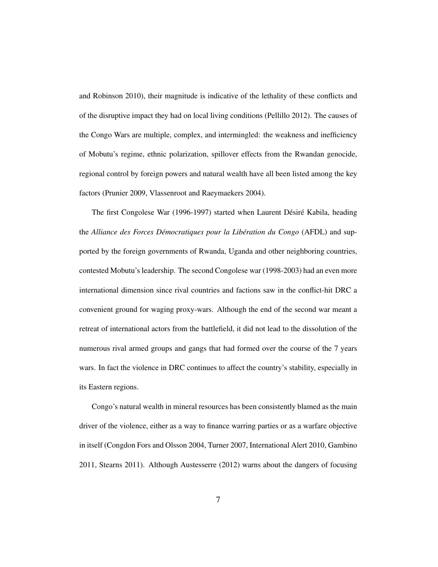and Robinson 2010), their magnitude is indicative of the lethality of these conflicts and of the disruptive impact they had on local living conditions (Pellillo 2012). The causes of the Congo Wars are multiple, complex, and intermingled: the weakness and inefficiency of Mobutu's regime, ethnic polarization, spillover effects from the Rwandan genocide, regional control by foreign powers and natural wealth have all been listed among the key factors (Prunier 2009, Vlassenroot and Raeymaekers 2004).

The first Congolese War (1996-1997) started when Laurent Désiré Kabila, heading the *Alliance des Forces Démocratiques pour la Libération du Congo* (AFDL) and supported by the foreign governments of Rwanda, Uganda and other neighboring countries, contested Mobutu's leadership. The second Congolese war (1998-2003) had an even more international dimension since rival countries and factions saw in the conflict-hit DRC a convenient ground for waging proxy-wars. Although the end of the second war meant a retreat of international actors from the battlefield, it did not lead to the dissolution of the numerous rival armed groups and gangs that had formed over the course of the 7 years wars. In fact the violence in DRC continues to affect the country's stability, especially in its Eastern regions.

Congo's natural wealth in mineral resources has been consistently blamed as the main driver of the violence, either as a way to finance warring parties or as a warfare objective in itself (Congdon Fors and Olsson 2004, Turner 2007, International Alert 2010, Gambino 2011, Stearns 2011). Although Austesserre (2012) warns about the dangers of focusing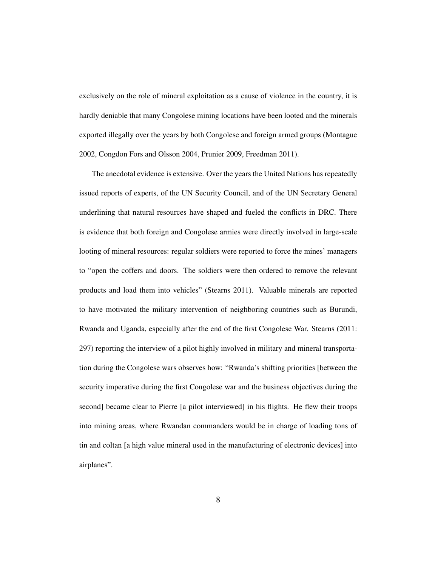exclusively on the role of mineral exploitation as a cause of violence in the country, it is hardly deniable that many Congolese mining locations have been looted and the minerals exported illegally over the years by both Congolese and foreign armed groups (Montague 2002, Congdon Fors and Olsson 2004, Prunier 2009, Freedman 2011).

The anecdotal evidence is extensive. Over the years the United Nations has repeatedly issued reports of experts, of the UN Security Council, and of the UN Secretary General underlining that natural resources have shaped and fueled the conflicts in DRC. There is evidence that both foreign and Congolese armies were directly involved in large-scale looting of mineral resources: regular soldiers were reported to force the mines' managers to "open the coffers and doors. The soldiers were then ordered to remove the relevant products and load them into vehicles" (Stearns 2011). Valuable minerals are reported to have motivated the military intervention of neighboring countries such as Burundi, Rwanda and Uganda, especially after the end of the first Congolese War. Stearns (2011: 297) reporting the interview of a pilot highly involved in military and mineral transportation during the Congolese wars observes how: "Rwanda's shifting priorities [between the security imperative during the first Congolese war and the business objectives during the second] became clear to Pierre [a pilot interviewed] in his flights. He flew their troops into mining areas, where Rwandan commanders would be in charge of loading tons of tin and coltan [a high value mineral used in the manufacturing of electronic devices] into airplanes".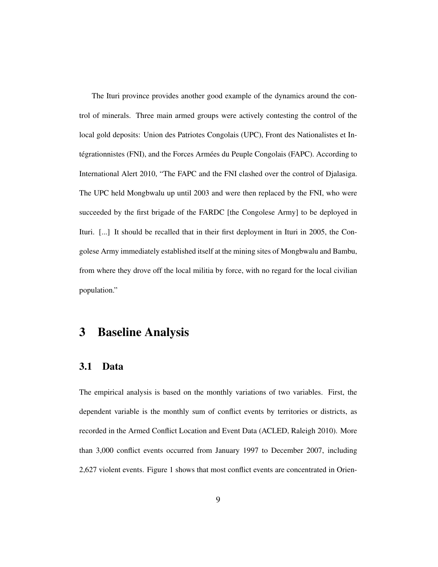The Ituri province provides another good example of the dynamics around the control of minerals. Three main armed groups were actively contesting the control of the local gold deposits: Union des Patriotes Congolais (UPC), Front des Nationalistes et Intégrationnistes (FNI), and the Forces Armées du Peuple Congolais (FAPC). According to International Alert 2010, "The FAPC and the FNI clashed over the control of Djalasiga. The UPC held Mongbwalu up until 2003 and were then replaced by the FNI, who were succeeded by the first brigade of the FARDC [the Congolese Army] to be deployed in Ituri. [...] It should be recalled that in their first deployment in Ituri in 2005, the Congolese Army immediately established itself at the mining sites of Mongbwalu and Bambu, from where they drove off the local militia by force, with no regard for the local civilian population."

### 3 Baseline Analysis

#### 3.1 Data

The empirical analysis is based on the monthly variations of two variables. First, the dependent variable is the monthly sum of conflict events by territories or districts, as recorded in the Armed Conflict Location and Event Data (ACLED, Raleigh 2010). More than 3,000 conflict events occurred from January 1997 to December 2007, including 2,627 violent events. Figure 1 shows that most conflict events are concentrated in Orien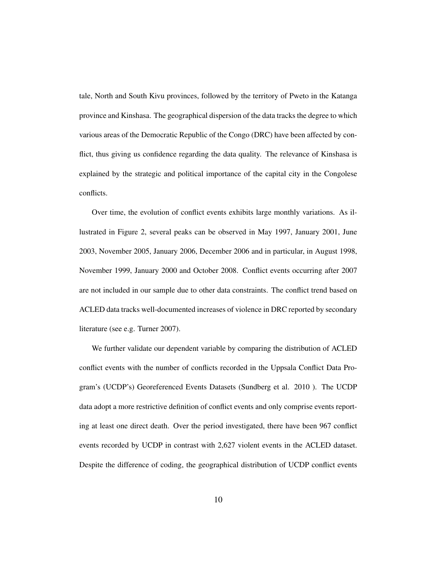tale, North and South Kivu provinces, followed by the territory of Pweto in the Katanga province and Kinshasa. The geographical dispersion of the data tracks the degree to which various areas of the Democratic Republic of the Congo (DRC) have been affected by conflict, thus giving us confidence regarding the data quality. The relevance of Kinshasa is explained by the strategic and political importance of the capital city in the Congolese conflicts.

Over time, the evolution of conflict events exhibits large monthly variations. As illustrated in Figure 2, several peaks can be observed in May 1997, January 2001, June 2003, November 2005, January 2006, December 2006 and in particular, in August 1998, November 1999, January 2000 and October 2008. Conflict events occurring after 2007 are not included in our sample due to other data constraints. The conflict trend based on ACLED data tracks well-documented increases of violence in DRC reported by secondary literature (see e.g. Turner 2007).

We further validate our dependent variable by comparing the distribution of ACLED conflict events with the number of conflicts recorded in the Uppsala Conflict Data Program's (UCDP's) Georeferenced Events Datasets (Sundberg et al. 2010 ). The UCDP data adopt a more restrictive definition of conflict events and only comprise events reporting at least one direct death. Over the period investigated, there have been 967 conflict events recorded by UCDP in contrast with 2,627 violent events in the ACLED dataset. Despite the difference of coding, the geographical distribution of UCDP conflict events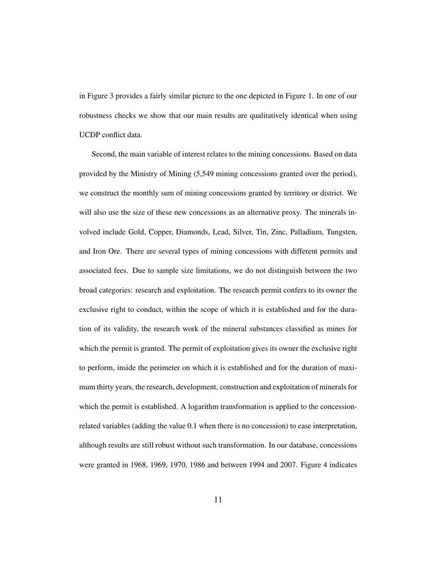in Figure 3 provides a fairly similar picture to the one depicted in Figure 1. In one of our robustness checks we show that our main results are qualitatively identical when using UCDP conflict data.

Second, the main variable of interest relates to the mining concessions. Based on data provided by the Ministry of Mining (5,549 mining concessions granted over the period), we construct the monthly sum of mining concessions granted by territory or district. We will also use the size of these new concessions as an alternative proxy. The minerals involved include Gold, Copper, Diamonds, Lead, Silver, Tin, Zinc, Palladium, Tungsten, and Iron Ore. There are several types of mining concessions with different permits and associated fees. Due to sample size limitations, we do not distinguish between the two broad categories: research and exploitation. The research permit confers to its owner the exclusive right to conduct, within the scope of which it is established and for the duration of its validity, the research work of the mineral substances classified as mines for which the permit is granted. The permit of exploitation gives its owner the exclusive right to perform, inside the perimeter on which it is established and for the duration of maximum thirty years, the research, development, construction and exploitation of minerals for which the permit is established. A logarithm transformation is applied to the concessionrelated variables (adding the value 0.1 when there is no concession) to ease interpretation, although results are still robust without such transformation. In our database, concessions were granted in 1968, 1969, 1970, 1986 and between 1994 and 2007. Figure 4 indicates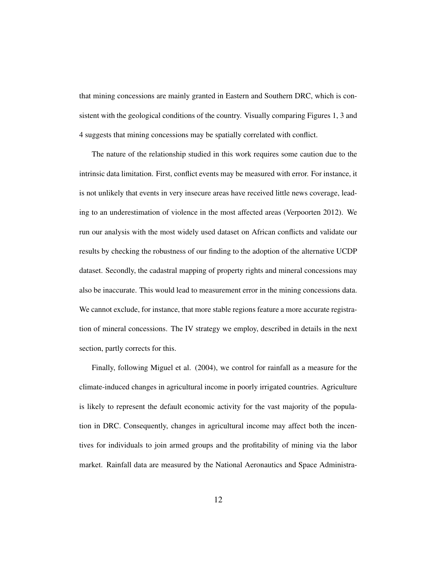that mining concessions are mainly granted in Eastern and Southern DRC, which is consistent with the geological conditions of the country. Visually comparing Figures 1, 3 and 4 suggests that mining concessions may be spatially correlated with conflict.

The nature of the relationship studied in this work requires some caution due to the intrinsic data limitation. First, conflict events may be measured with error. For instance, it is not unlikely that events in very insecure areas have received little news coverage, leading to an underestimation of violence in the most affected areas (Verpoorten 2012). We run our analysis with the most widely used dataset on African conflicts and validate our results by checking the robustness of our finding to the adoption of the alternative UCDP dataset. Secondly, the cadastral mapping of property rights and mineral concessions may also be inaccurate. This would lead to measurement error in the mining concessions data. We cannot exclude, for instance, that more stable regions feature a more accurate registration of mineral concessions. The IV strategy we employ, described in details in the next section, partly corrects for this.

Finally, following Miguel et al. (2004), we control for rainfall as a measure for the climate-induced changes in agricultural income in poorly irrigated countries. Agriculture is likely to represent the default economic activity for the vast majority of the population in DRC. Consequently, changes in agricultural income may affect both the incentives for individuals to join armed groups and the profitability of mining via the labor market. Rainfall data are measured by the National Aeronautics and Space Administra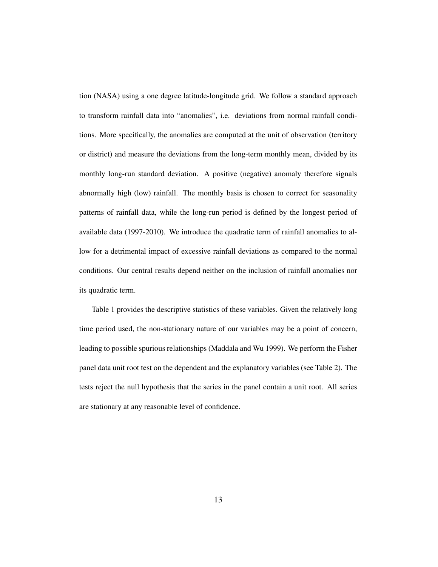tion (NASA) using a one degree latitude-longitude grid. We follow a standard approach to transform rainfall data into "anomalies", i.e. deviations from normal rainfall conditions. More specifically, the anomalies are computed at the unit of observation (territory or district) and measure the deviations from the long-term monthly mean, divided by its monthly long-run standard deviation. A positive (negative) anomaly therefore signals abnormally high (low) rainfall. The monthly basis is chosen to correct for seasonality patterns of rainfall data, while the long-run period is defined by the longest period of available data (1997-2010). We introduce the quadratic term of rainfall anomalies to allow for a detrimental impact of excessive rainfall deviations as compared to the normal conditions. Our central results depend neither on the inclusion of rainfall anomalies nor its quadratic term.

Table 1 provides the descriptive statistics of these variables. Given the relatively long time period used, the non-stationary nature of our variables may be a point of concern, leading to possible spurious relationships (Maddala and Wu 1999). We perform the Fisher panel data unit root test on the dependent and the explanatory variables (see Table 2). The tests reject the null hypothesis that the series in the panel contain a unit root. All series are stationary at any reasonable level of confidence.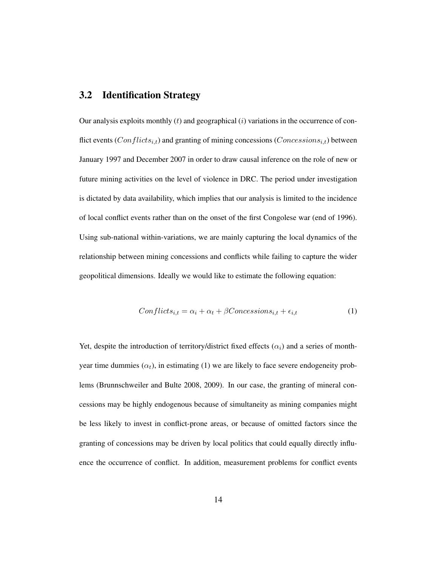#### 3.2 Identification Strategy

Our analysis exploits monthly  $(t)$  and geographical  $(i)$  variations in the occurrence of conflict events ( $Conflicts_{i,t}$ ) and granting of mining concessions ( $Concessions_{i,t}$ ) between January 1997 and December 2007 in order to draw causal inference on the role of new or future mining activities on the level of violence in DRC. The period under investigation is dictated by data availability, which implies that our analysis is limited to the incidence of local conflict events rather than on the onset of the first Congolese war (end of 1996). Using sub-national within-variations, we are mainly capturing the local dynamics of the relationship between mining concessions and conflicts while failing to capture the wider geopolitical dimensions. Ideally we would like to estimate the following equation:

$$
Conflicts_{i,t} = \alpha_i + \alpha_t + \beta Concessions_{i,t} + \epsilon_{i,t} \tag{1}
$$

Yet, despite the introduction of territory/district fixed effects  $(\alpha_i)$  and a series of monthyear time dummies  $(\alpha_t)$ , in estimating (1) we are likely to face severe endogeneity problems (Brunnschweiler and Bulte 2008, 2009). In our case, the granting of mineral concessions may be highly endogenous because of simultaneity as mining companies might be less likely to invest in conflict-prone areas, or because of omitted factors since the granting of concessions may be driven by local politics that could equally directly influence the occurrence of conflict. In addition, measurement problems for conflict events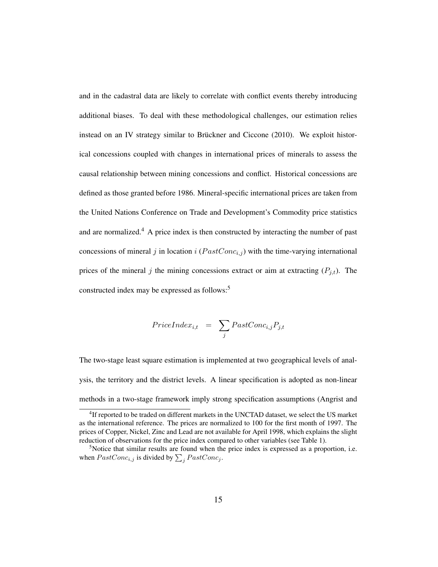and in the cadastral data are likely to correlate with conflict events thereby introducing additional biases. To deal with these methodological challenges, our estimation relies instead on an IV strategy similar to Brückner and Ciccone (2010). We exploit historical concessions coupled with changes in international prices of minerals to assess the causal relationship between mining concessions and conflict. Historical concessions are defined as those granted before 1986. Mineral-specific international prices are taken from the United Nations Conference on Trade and Development's Commodity price statistics and are normalized.<sup>4</sup> A price index is then constructed by interacting the number of past concessions of mineral j in location i  $(PastConc_{i,j})$  with the time-varying international prices of the mineral j the mining concessions extract or aim at extracting  $(P_{j,t})$ . The constructed index may be expressed as follows:<sup>5</sup>

$$
PriceIndex_{i,t} = \sum_{j} PastConc_{i,j}P_{j,t}
$$

The two-stage least square estimation is implemented at two geographical levels of analysis, the territory and the district levels. A linear specification is adopted as non-linear methods in a two-stage framework imply strong specification assumptions (Angrist and

<sup>&</sup>lt;sup>4</sup>If reported to be traded on different markets in the UNCTAD dataset, we select the US market as the international reference. The prices are normalized to 100 for the first month of 1997. The prices of Copper, Nickel, Zinc and Lead are not available for April 1998, which explains the slight reduction of observations for the price index compared to other variables (see Table 1).

 $5$ Notice that similar results are found when the price index is expressed as a proportion, i.e. when  $PastConc_{i,j}$  is divided by  $\sum_{j} PastConc_{j}$ .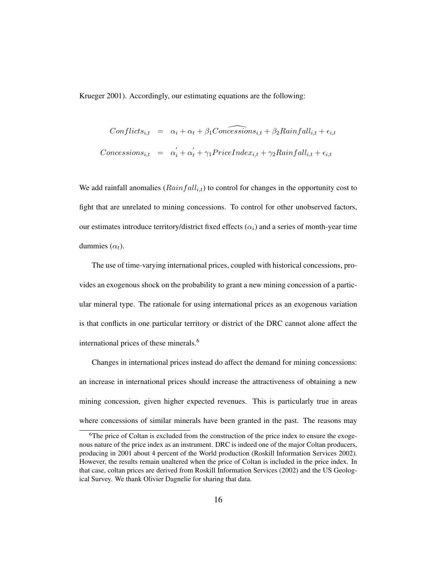Krueger 2001). Accordingly, our estimating equations are the following:

$$
Conflicts_{i,t} = \alpha_i + \alpha_t + \beta_1 Concessions_{i,t} + \beta_2 Rainfall_{i,t} + \epsilon_{i,t}
$$
  

$$
Concessions_{i,t} = \alpha'_i + \alpha'_t + \gamma_1 PriceIndex_{i,t} + \gamma_2 Rainfall_{i,t} + \epsilon_{i,t}
$$

We add rainfall anomalies  $(Rainfall_{i,t})$  to control for changes in the opportunity cost to fight that are unrelated to mining concessions. To control for other unobserved factors, our estimates introduce territory/district fixed effects ( $\alpha_i$ ) and a series of month-year time dummies  $(\alpha_t)$ .

The use of time-varying international prices, coupled with historical concessions, provides an exogenous shock on the probability to grant a new mining concession of a particular mineral type. The rationale for using international prices as an exogenous variation is that conflicts in one particular territory or district of the DRC cannot alone affect the international prices of these minerals.<sup>6</sup>

Changes in international prices instead do affect the demand for mining concessions: an increase in international prices should increase the attractiveness of obtaining a new mining concession, given higher expected revenues. This is particularly true in areas where concessions of similar minerals have been granted in the past. The reasons may

<sup>&</sup>lt;sup>6</sup>The price of Coltan is excluded from the construction of the price index to ensure the exogenous nature of the price index as an instrument. DRC is indeed one of the major Coltan producers, producing in 2001 about 4 percent of the World production (Roskill Information Services 2002). However, the results remain unaltered when the price of Coltan is included in the price index. In that case, coltan prices are derived from Roskill Information Services (2002) and the US Geological Survey. We thank Olivier Dagnelie for sharing that data.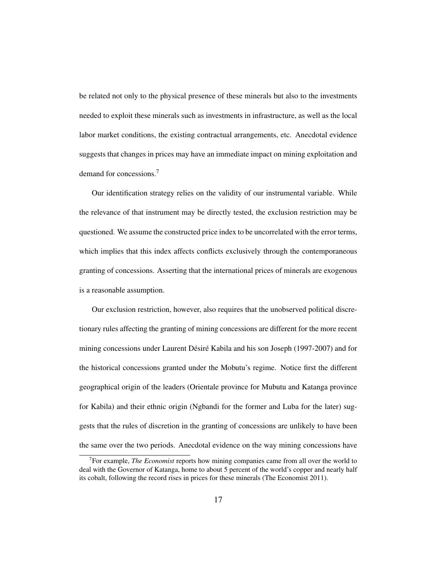be related not only to the physical presence of these minerals but also to the investments needed to exploit these minerals such as investments in infrastructure, as well as the local labor market conditions, the existing contractual arrangements, etc. Anecdotal evidence suggests that changes in prices may have an immediate impact on mining exploitation and demand for concessions.<sup>7</sup>

Our identification strategy relies on the validity of our instrumental variable. While the relevance of that instrument may be directly tested, the exclusion restriction may be questioned. We assume the constructed price index to be uncorrelated with the error terms, which implies that this index affects conflicts exclusively through the contemporaneous granting of concessions. Asserting that the international prices of minerals are exogenous is a reasonable assumption.

Our exclusion restriction, however, also requires that the unobserved political discretionary rules affecting the granting of mining concessions are different for the more recent mining concessions under Laurent Désiré Kabila and his son Joseph (1997-2007) and for the historical concessions granted under the Mobutu's regime. Notice first the different geographical origin of the leaders (Orientale province for Mubutu and Katanga province for Kabila) and their ethnic origin (Ngbandi for the former and Luba for the later) suggests that the rules of discretion in the granting of concessions are unlikely to have been the same over the two periods. Anecdotal evidence on the way mining concessions have

<sup>7</sup>For example, *The Economist* reports how mining companies came from all over the world to deal with the Governor of Katanga, home to about 5 percent of the world's copper and nearly half its cobalt, following the record rises in prices for these minerals (The Economist 2011).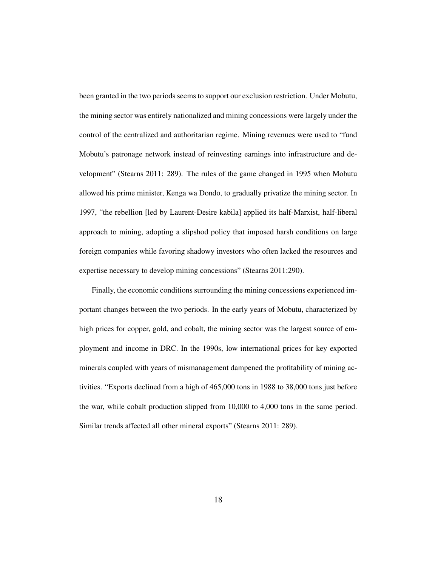been granted in the two periods seems to support our exclusion restriction. Under Mobutu, the mining sector was entirely nationalized and mining concessions were largely under the control of the centralized and authoritarian regime. Mining revenues were used to "fund Mobutu's patronage network instead of reinvesting earnings into infrastructure and development" (Stearns 2011: 289). The rules of the game changed in 1995 when Mobutu allowed his prime minister, Kenga wa Dondo, to gradually privatize the mining sector. In 1997, "the rebellion [led by Laurent-Desire kabila] applied its half-Marxist, half-liberal approach to mining, adopting a slipshod policy that imposed harsh conditions on large foreign companies while favoring shadowy investors who often lacked the resources and expertise necessary to develop mining concessions" (Stearns 2011:290).

Finally, the economic conditions surrounding the mining concessions experienced important changes between the two periods. In the early years of Mobutu, characterized by high prices for copper, gold, and cobalt, the mining sector was the largest source of employment and income in DRC. In the 1990s, low international prices for key exported minerals coupled with years of mismanagement dampened the profitability of mining activities. "Exports declined from a high of 465,000 tons in 1988 to 38,000 tons just before the war, while cobalt production slipped from 10,000 to 4,000 tons in the same period. Similar trends affected all other mineral exports" (Stearns 2011: 289).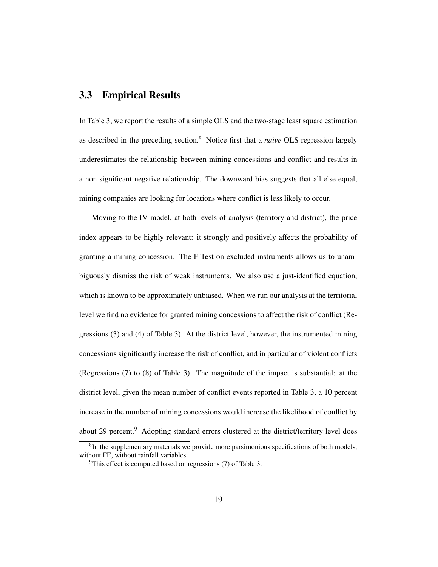#### 3.3 Empirical Results

In Table 3, we report the results of a simple OLS and the two-stage least square estimation as described in the preceding section.<sup>8</sup> Notice first that a *naive* OLS regression largely underestimates the relationship between mining concessions and conflict and results in a non significant negative relationship. The downward bias suggests that all else equal, mining companies are looking for locations where conflict is less likely to occur.

Moving to the IV model, at both levels of analysis (territory and district), the price index appears to be highly relevant: it strongly and positively affects the probability of granting a mining concession. The F-Test on excluded instruments allows us to unambiguously dismiss the risk of weak instruments. We also use a just-identified equation, which is known to be approximately unbiased. When we run our analysis at the territorial level we find no evidence for granted mining concessions to affect the risk of conflict (Regressions (3) and (4) of Table 3). At the district level, however, the instrumented mining concessions significantly increase the risk of conflict, and in particular of violent conflicts (Regressions (7) to (8) of Table 3). The magnitude of the impact is substantial: at the district level, given the mean number of conflict events reported in Table 3, a 10 percent increase in the number of mining concessions would increase the likelihood of conflict by about 29 percent.<sup>9</sup> Adopting standard errors clustered at the district/territory level does

<sup>&</sup>lt;sup>8</sup>In the supplementary materials we provide more parsimonious specifications of both models, without FE, without rainfall variables.

 $9$ This effect is computed based on regressions (7) of Table 3.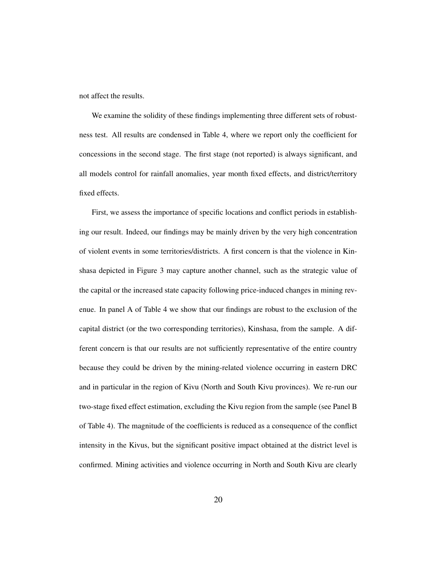not affect the results.

We examine the solidity of these findings implementing three different sets of robustness test. All results are condensed in Table 4, where we report only the coefficient for concessions in the second stage. The first stage (not reported) is always significant, and all models control for rainfall anomalies, year month fixed effects, and district/territory fixed effects.

First, we assess the importance of specific locations and conflict periods in establishing our result. Indeed, our findings may be mainly driven by the very high concentration of violent events in some territories/districts. A first concern is that the violence in Kinshasa depicted in Figure 3 may capture another channel, such as the strategic value of the capital or the increased state capacity following price-induced changes in mining revenue. In panel A of Table 4 we show that our findings are robust to the exclusion of the capital district (or the two corresponding territories), Kinshasa, from the sample. A different concern is that our results are not sufficiently representative of the entire country because they could be driven by the mining-related violence occurring in eastern DRC and in particular in the region of Kivu (North and South Kivu provinces). We re-run our two-stage fixed effect estimation, excluding the Kivu region from the sample (see Panel B of Table 4). The magnitude of the coefficients is reduced as a consequence of the conflict intensity in the Kivus, but the significant positive impact obtained at the district level is confirmed. Mining activities and violence occurring in North and South Kivu are clearly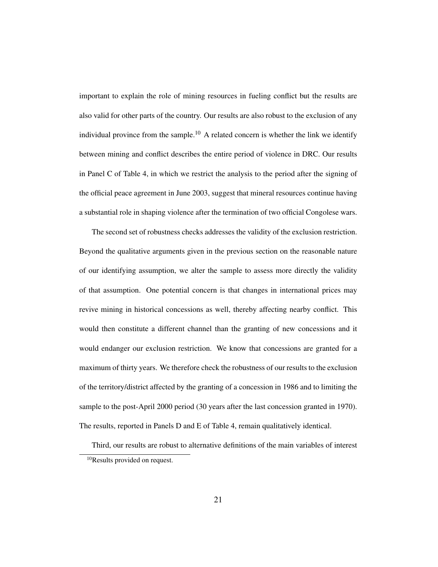important to explain the role of mining resources in fueling conflict but the results are also valid for other parts of the country. Our results are also robust to the exclusion of any individual province from the sample.<sup>10</sup> A related concern is whether the link we identify between mining and conflict describes the entire period of violence in DRC. Our results in Panel C of Table 4, in which we restrict the analysis to the period after the signing of the official peace agreement in June 2003, suggest that mineral resources continue having a substantial role in shaping violence after the termination of two official Congolese wars.

The second set of robustness checks addresses the validity of the exclusion restriction. Beyond the qualitative arguments given in the previous section on the reasonable nature of our identifying assumption, we alter the sample to assess more directly the validity of that assumption. One potential concern is that changes in international prices may revive mining in historical concessions as well, thereby affecting nearby conflict. This would then constitute a different channel than the granting of new concessions and it would endanger our exclusion restriction. We know that concessions are granted for a maximum of thirty years. We therefore check the robustness of our results to the exclusion of the territory/district affected by the granting of a concession in 1986 and to limiting the sample to the post-April 2000 period (30 years after the last concession granted in 1970). The results, reported in Panels D and E of Table 4, remain qualitatively identical.

Third, our results are robust to alternative definitions of the main variables of interest

<sup>10</sup>Results provided on request.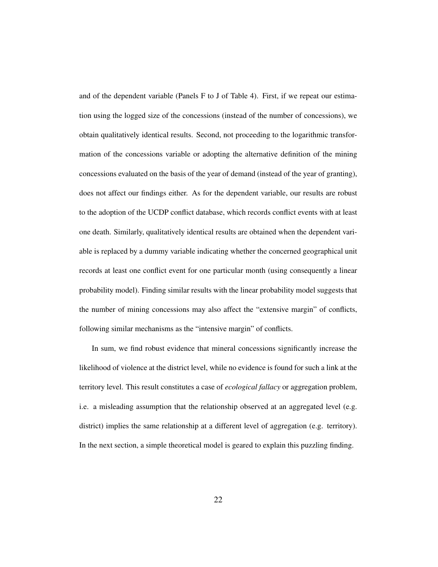and of the dependent variable (Panels F to J of Table 4). First, if we repeat our estimation using the logged size of the concessions (instead of the number of concessions), we obtain qualitatively identical results. Second, not proceeding to the logarithmic transformation of the concessions variable or adopting the alternative definition of the mining concessions evaluated on the basis of the year of demand (instead of the year of granting), does not affect our findings either. As for the dependent variable, our results are robust to the adoption of the UCDP conflict database, which records conflict events with at least one death. Similarly, qualitatively identical results are obtained when the dependent variable is replaced by a dummy variable indicating whether the concerned geographical unit records at least one conflict event for one particular month (using consequently a linear probability model). Finding similar results with the linear probability model suggests that the number of mining concessions may also affect the "extensive margin" of conflicts, following similar mechanisms as the "intensive margin" of conflicts.

In sum, we find robust evidence that mineral concessions significantly increase the likelihood of violence at the district level, while no evidence is found for such a link at the territory level. This result constitutes a case of *ecological fallacy* or aggregation problem, i.e. a misleading assumption that the relationship observed at an aggregated level (e.g. district) implies the same relationship at a different level of aggregation (e.g. territory). In the next section, a simple theoretical model is geared to explain this puzzling finding.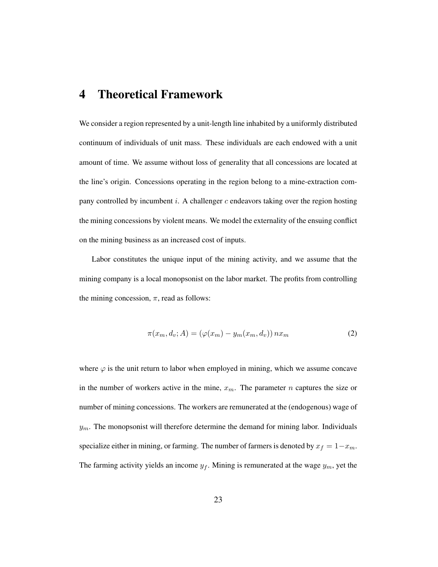### 4 Theoretical Framework

We consider a region represented by a unit-length line inhabited by a uniformly distributed continuum of individuals of unit mass. These individuals are each endowed with a unit amount of time. We assume without loss of generality that all concessions are located at the line's origin. Concessions operating in the region belong to a mine-extraction company controlled by incumbent i. A challenger  $c$  endeavors taking over the region hosting the mining concessions by violent means. We model the externality of the ensuing conflict on the mining business as an increased cost of inputs.

Labor constitutes the unique input of the mining activity, and we assume that the mining company is a local monopsonist on the labor market. The profits from controlling the mining concession,  $\pi$ , read as follows:

$$
\pi(x_m, d_v; A) = (\varphi(x_m) - y_m(x_m, d_v)) nx_m
$$
\n(2)

where  $\varphi$  is the unit return to labor when employed in mining, which we assume concave in the number of workers active in the mine,  $x_m$ . The parameter n captures the size or number of mining concessions. The workers are remunerated at the (endogenous) wage of  $y_m$ . The monopsonist will therefore determine the demand for mining labor. Individuals specialize either in mining, or farming. The number of farmers is denoted by  $x_f = 1-x_m$ . The farming activity yields an income  $y_f$ . Mining is remunerated at the wage  $y_m$ , yet the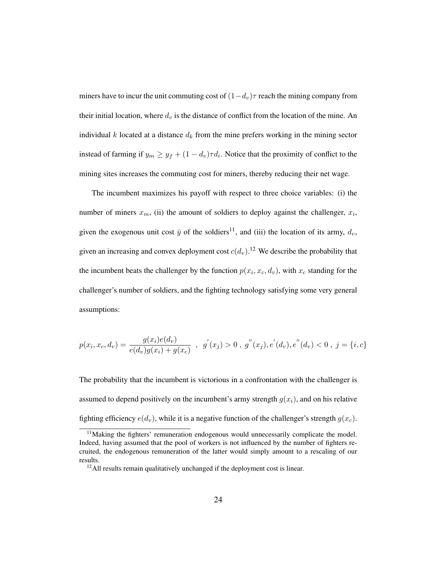miners have to incur the unit commuting cost of  $(1-d_v)\tau$  reach the mining company from their initial location, where  $d_v$  is the distance of conflict from the location of the mine. An individual k located at a distance  $d_k$  from the mine prefers working in the mining sector instead of farming if  $y_m \ge y_f + (1 - d_v) \tau d_i$ . Notice that the proximity of conflict to the mining sites increases the commuting cost for miners, thereby reducing their net wage.

The incumbent maximizes his payoff with respect to three choice variables: (i) the number of miners  $x_m$ , (ii) the amount of soldiers to deploy against the challenger,  $x_i$ , given the exogenous unit cost  $\bar{y}$  of the soldiers<sup>11</sup>, and (iii) the location of its army,  $d_v$ , given an increasing and convex deployment cost  $c(d_v)$ .<sup>12</sup> We describe the probability that the incumbent beats the challenger by the function  $p(x_i, x_c, d_v)$ , with  $x_c$  standing for the challenger's number of soldiers, and the fighting technology satisfying some very general assumptions:

$$
p(x_i, x_c, d_v) = \frac{g(x_i)e(d_v)}{e(d_v)g(x_i) + g(x_c)} , g'(x_j) > 0 , g''(x_j), e'(d_v), e''(d_v) < 0 , j = \{i, c\}
$$

The probability that the incumbent is victorious in a confrontation with the challenger is assumed to depend positively on the incumbent's army strength  $g(x_i)$ , and on his relative fighting efficiency  $e(d_v)$ , while it is a negative function of the challenger's strength  $g(x_c)$ .

 $11$ Making the fighters' remuneration endogenous would unnecessarily complicate the model. Indeed, having assumed that the pool of workers is not influenced by the number of fighters recruited, the endogenous remuneration of the latter would simply amount to a rescaling of our results.

<sup>&</sup>lt;sup>12</sup>All results remain qualitatively unchanged if the deployment cost is linear.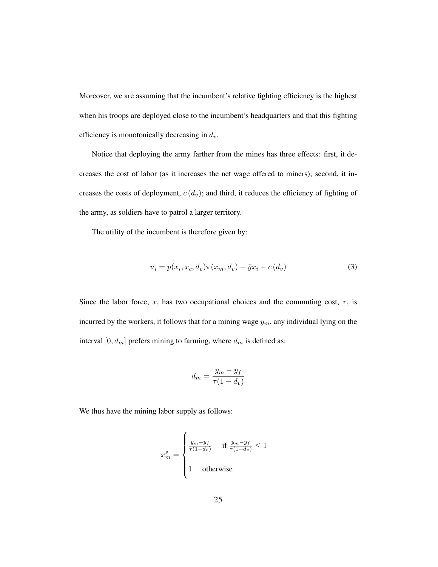Moreover, we are assuming that the incumbent's relative fighting efficiency is the highest when his troops are deployed close to the incumbent's headquarters and that this fighting efficiency is monotonically decreasing in  $d_v$ .

Notice that deploying the army farther from the mines has three effects: first, it decreases the cost of labor (as it increases the net wage offered to miners); second, it increases the costs of deployment,  $c(d_v)$ ; and third, it reduces the efficiency of fighting of the army, as soldiers have to patrol a larger territory.

The utility of the incumbent is therefore given by:

$$
u_i = p(x_i, x_c, d_v) \pi(x_m, d_v) - \bar{y}x_i - c(d_v)
$$
\n
$$
(3)
$$

Since the labor force, x, has two occupational choices and the commuting cost,  $\tau$ , is incurred by the workers, it follows that for a mining wage  $y_m$ , any individual lying on the interval  $[0, d_m]$  prefers mining to farming, where  $d_m$  is defined as:

$$
d_m = \frac{y_m - y_f}{\tau (1 - d_v)}
$$

We thus have the mining labor supply as follows:

$$
x_m^s = \begin{cases} \frac{y_m - y_f}{\tau(1 - d_v)} & \text{if } \frac{y_m - y_f}{\tau(1 - d_v)} \le 1\\ 1 & \text{otherwise} \end{cases}
$$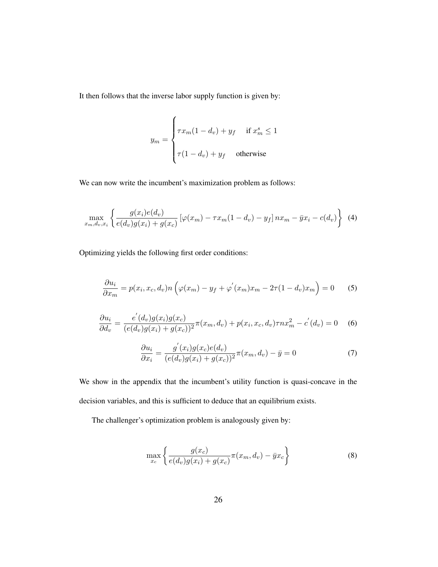It then follows that the inverse labor supply function is given by:

$$
y_m = \begin{cases} \tau x_m (1 - d_v) + y_f & \text{if } x_m^s \le 1 \\ \tau (1 - d_v) + y_f & \text{otherwise} \end{cases}
$$

We can now write the incumbent's maximization problem as follows:

$$
\max_{x_m, d_v, x_i} \left\{ \frac{g(x_i)e(d_v)}{e(d_v)g(x_i) + g(x_c)} \left[ \varphi(x_m) - \tau x_m(1 - d_v) - y_f \right] n x_m - \bar{y} x_i - c(d_v) \right\} \tag{4}
$$

Optimizing yields the following first order conditions:

$$
\frac{\partial u_i}{\partial x_m} = p(x_i, x_c, d_v) n \left( \varphi(x_m) - y_f + \varphi'(x_m) x_m - 2\tau (1 - d_v) x_m \right) = 0 \tag{5}
$$

$$
\frac{\partial u_i}{\partial d_v} = \frac{e'(d_v)g(x_i)g(x_c)}{(e(d_v)g(x_i) + g(x_c))^2} \pi(x_m, d_v) + p(x_i, x_c, d_v) \tau nx_m^2 - c'(d_v) = 0 \quad (6)
$$

$$
\frac{\partial u_i}{\partial x_i} = \frac{g'(x_i)g(x_c)e(d_v)}{(e(d_v)g(x_i) + g(x_c))^2} \pi(x_m, d_v) - \bar{y} = 0
$$
\n(7)

We show in the appendix that the incumbent's utility function is quasi-concave in the decision variables, and this is sufficient to deduce that an equilibrium exists.

The challenger's optimization problem is analogously given by:

$$
\max_{x_c} \left\{ \frac{g(x_c)}{e(d_v)g(x_i) + g(x_c)} \pi(x_m, d_v) - \bar{y}x_c \right\}
$$
(8)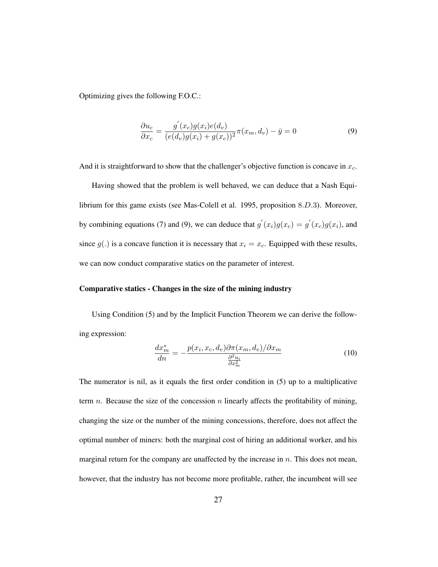Optimizing gives the following F.O.C.:

$$
\frac{\partial u_c}{\partial x_c} = \frac{g'(x_c)g(x_i)e(d_v)}{(e(d_v)g(x_i) + g(x_c))^2} \pi(x_m, d_v) - \bar{y} = 0
$$
\n(9)

And it is straightforward to show that the challenger's objective function is concave in  $x_c$ .

Having showed that the problem is well behaved, we can deduce that a Nash Equilibrium for this game exists (see Mas-Colell et al. 1995, proposition 8.D.3). Moreover, by combining equations (7) and (9), we can deduce that  $g'(x_i)g(x_c) = g'(x_c)g(x_i)$ , and since  $g(.)$  is a concave function it is necessary that  $x_i = x_c$ . Equipped with these results, we can now conduct comparative statics on the parameter of interest.

#### Comparative statics - Changes in the size of the mining industry

Using Condition (5) and by the Implicit Function Theorem we can derive the following expression:

$$
\frac{dx_m^*}{dn} = -\frac{p(x_i, x_c, d_v)\partial \pi(x_m, d_v)/\partial x_m}{\frac{\partial^2 u_i}{\partial x_m^2}}
$$
(10)

The numerator is nil, as it equals the first order condition in (5) up to a multiplicative term *n*. Because the size of the concession *n* linearly affects the profitability of mining, changing the size or the number of the mining concessions, therefore, does not affect the optimal number of miners: both the marginal cost of hiring an additional worker, and his marginal return for the company are unaffected by the increase in  $n$ . This does not mean, however, that the industry has not become more profitable, rather, the incumbent will see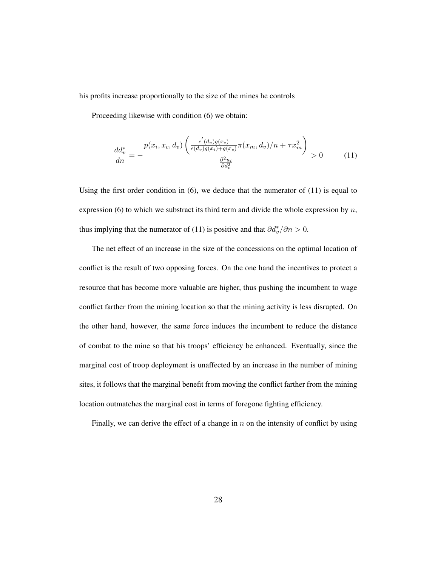his profits increase proportionally to the size of the mines he controls

Proceeding likewise with condition (6) we obtain:

$$
\frac{dd_v^*}{dn} = -\frac{p(x_i, x_c, d_v) \left( \frac{e'(d_v)g(x_c)}{e(d_v)g(x_i) + g(x_c)} \pi(x_m, d_v) / n + \tau x_m^2 \right)}{\frac{\partial^2 u_i}{\partial d_v^2}} > 0 \tag{11}
$$

Using the first order condition in  $(6)$ , we deduce that the numerator of  $(11)$  is equal to expression (6) to which we substract its third term and divide the whole expression by  $n$ , thus implying that the numerator of (11) is positive and that  $\partial d_v^* / \partial n > 0$ .

The net effect of an increase in the size of the concessions on the optimal location of conflict is the result of two opposing forces. On the one hand the incentives to protect a resource that has become more valuable are higher, thus pushing the incumbent to wage conflict farther from the mining location so that the mining activity is less disrupted. On the other hand, however, the same force induces the incumbent to reduce the distance of combat to the mine so that his troops' efficiency be enhanced. Eventually, since the marginal cost of troop deployment is unaffected by an increase in the number of mining sites, it follows that the marginal benefit from moving the conflict farther from the mining location outmatches the marginal cost in terms of foregone fighting efficiency.

Finally, we can derive the effect of a change in  $n$  on the intensity of conflict by using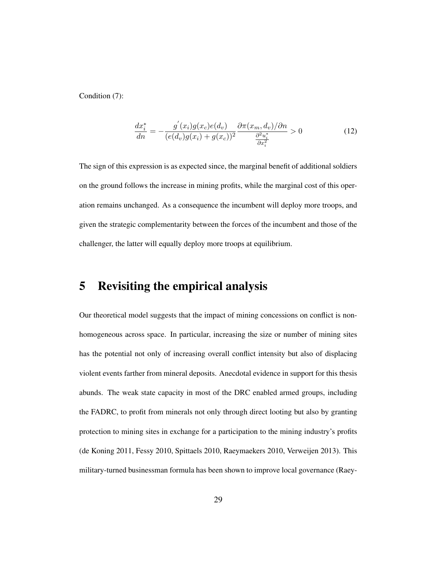Condition (7):

$$
\frac{dx_i^*}{dn} = -\frac{g'(x_i)g(x_c)e(d_v)}{(e(d_v)g(x_i) + g(x_c))^2} \frac{\partial \pi(x_m, d_v)/\partial n}{\frac{\partial^2 u_i^*}{\partial x_i^2}} > 0
$$
\n(12)

The sign of this expression is as expected since, the marginal benefit of additional soldiers on the ground follows the increase in mining profits, while the marginal cost of this operation remains unchanged. As a consequence the incumbent will deploy more troops, and given the strategic complementarity between the forces of the incumbent and those of the challenger, the latter will equally deploy more troops at equilibrium.

#### 5 Revisiting the empirical analysis

Our theoretical model suggests that the impact of mining concessions on conflict is nonhomogeneous across space. In particular, increasing the size or number of mining sites has the potential not only of increasing overall conflict intensity but also of displacing violent events farther from mineral deposits. Anecdotal evidence in support for this thesis abunds. The weak state capacity in most of the DRC enabled armed groups, including the FADRC, to profit from minerals not only through direct looting but also by granting protection to mining sites in exchange for a participation to the mining industry's profits (de Koning 2011, Fessy 2010, Spittaels 2010, Raeymaekers 2010, Verweijen 2013). This military-turned businessman formula has been shown to improve local governance (Raey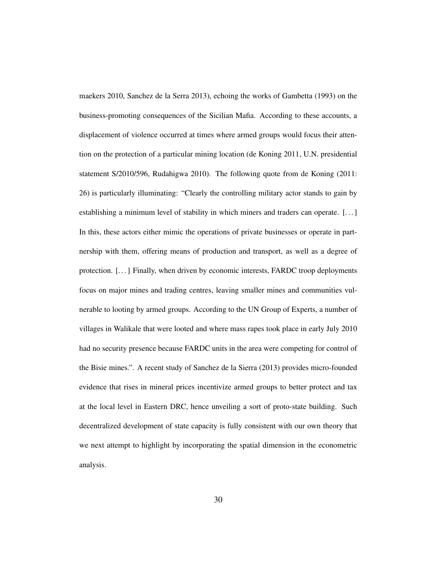maekers 2010, Sanchez de la Serra 2013), echoing the works of Gambetta (1993) on the business-promoting consequences of the Sicilian Mafia. According to these accounts, a displacement of violence occurred at times where armed groups would focus their attention on the protection of a particular mining location (de Koning 2011, U.N. presidential statement S/2010/596, Rudahigwa 2010). The following quote from de Koning (2011: 26) is particularly illuminating: "Clearly the controlling military actor stands to gain by establishing a minimum level of stability in which miners and traders can operate. [. . . ] In this, these actors either mimic the operations of private businesses or operate in partnership with them, offering means of production and transport, as well as a degree of protection. [. . . ] Finally, when driven by economic interests, FARDC troop deployments focus on major mines and trading centres, leaving smaller mines and communities vulnerable to looting by armed groups. According to the UN Group of Experts, a number of villages in Walikale that were looted and where mass rapes took place in early July 2010 had no security presence because FARDC units in the area were competing for control of the Bisie mines.". A recent study of Sanchez de la Sierra (2013) provides micro-founded evidence that rises in mineral prices incentivize armed groups to better protect and tax at the local level in Eastern DRC, hence unveiling a sort of proto-state building. Such decentralized development of state capacity is fully consistent with our own theory that we next attempt to highlight by incorporating the spatial dimension in the econometric analysis.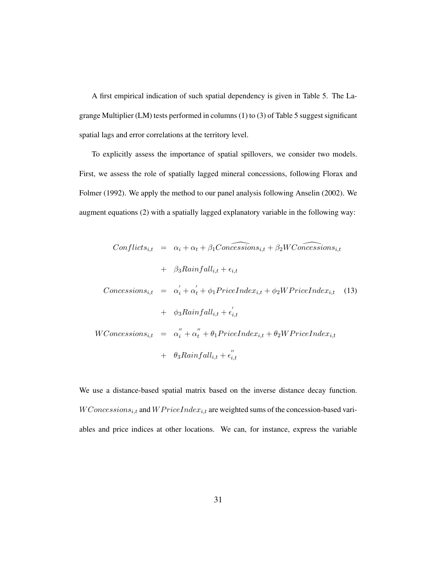A first empirical indication of such spatial dependency is given in Table 5. The Lagrange Multiplier (LM) tests performed in columns (1) to (3) of Table 5 suggest significant spatial lags and error correlations at the territory level.

To explicitly assess the importance of spatial spillovers, we consider two models. First, we assess the role of spatially lagged mineral concessions, following Florax and Folmer (1992). We apply the method to our panel analysis following Anselin (2002). We augment equations (2) with a spatially lagged explanatory variable in the following way:

$$
Conflicts_{i,t} = \alpha_i + \alpha_t + \beta_1 Concessions_{i,t} + \beta_2 WConcessions_{i,t}
$$
  
+  $\beta_3 Rainfall_{i,t} + \epsilon_{i,t}$   

$$
Concessions_{i,t} = \alpha'_i + \alpha'_t + \phi_1 PriceIndex_{i,t} + \phi_2 WPriceIndex_{i,t} \quad (13)
$$
  
+  $\phi_3 Rainfall_{i,t} + \epsilon'_{i,t}$   

$$
WConcessions_{i,t} = \alpha''_i + \alpha''_t + \theta_1 PriceIndex_{i,t} + \theta_2 WPriceIndex_{i,t}
$$
  
+  $\theta_3 Rainfall_{i,t} + \epsilon''_{i,t}$ 

We use a distance-based spatial matrix based on the inverse distance decay function.  $WConcessions_{i,t}$  and  $WFriceIndex_{i,t}$  are weighted sums of the concession-based variables and price indices at other locations. We can, for instance, express the variable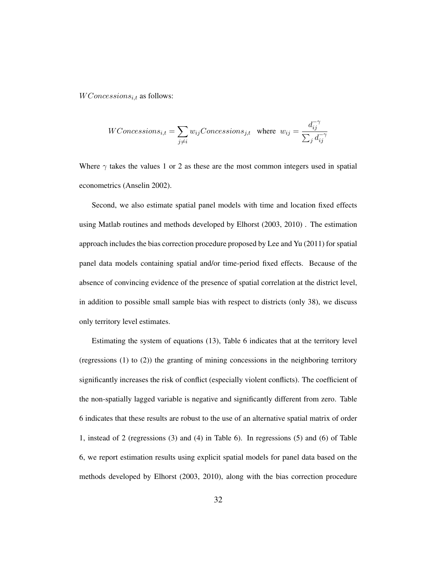$WConcessions_{i,t}$  as follows:

*WConcessions*<sub>i,t</sub> = 
$$
\sum_{j \neq i} w_{ij}Concessions_{j,t}
$$
 where  $w_{ij} = \frac{d_{ij}^{-\gamma}}{\sum_j d_{ij}^{-\gamma}}$ 

Where  $\gamma$  takes the values 1 or 2 as these are the most common integers used in spatial econometrics (Anselin 2002).

Second, we also estimate spatial panel models with time and location fixed effects using Matlab routines and methods developed by Elhorst (2003, 2010) . The estimation approach includes the bias correction procedure proposed by Lee and Yu (2011) for spatial panel data models containing spatial and/or time-period fixed effects. Because of the absence of convincing evidence of the presence of spatial correlation at the district level, in addition to possible small sample bias with respect to districts (only 38), we discuss only territory level estimates.

Estimating the system of equations (13), Table 6 indicates that at the territory level (regressions (1) to (2)) the granting of mining concessions in the neighboring territory significantly increases the risk of conflict (especially violent conflicts). The coefficient of the non-spatially lagged variable is negative and significantly different from zero. Table 6 indicates that these results are robust to the use of an alternative spatial matrix of order 1, instead of 2 (regressions (3) and (4) in Table 6). In regressions (5) and (6) of Table 6, we report estimation results using explicit spatial models for panel data based on the methods developed by Elhorst (2003, 2010), along with the bias correction procedure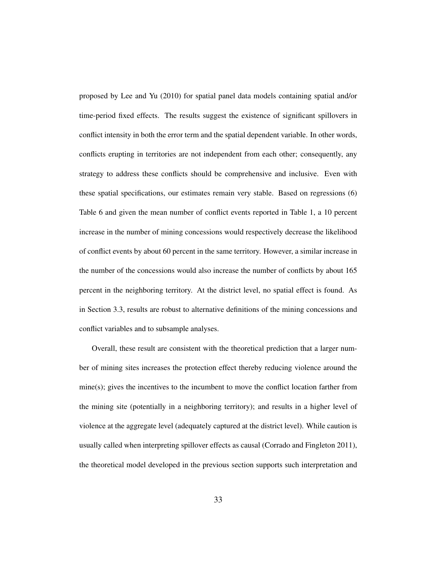proposed by Lee and Yu (2010) for spatial panel data models containing spatial and/or time-period fixed effects. The results suggest the existence of significant spillovers in conflict intensity in both the error term and the spatial dependent variable. In other words, conflicts erupting in territories are not independent from each other; consequently, any strategy to address these conflicts should be comprehensive and inclusive. Even with these spatial specifications, our estimates remain very stable. Based on regressions (6) Table 6 and given the mean number of conflict events reported in Table 1, a 10 percent increase in the number of mining concessions would respectively decrease the likelihood of conflict events by about 60 percent in the same territory. However, a similar increase in the number of the concessions would also increase the number of conflicts by about 165 percent in the neighboring territory. At the district level, no spatial effect is found. As in Section 3.3, results are robust to alternative definitions of the mining concessions and conflict variables and to subsample analyses.

Overall, these result are consistent with the theoretical prediction that a larger number of mining sites increases the protection effect thereby reducing violence around the  $mine(s)$ ; gives the incentives to the incumbent to move the conflict location farther from the mining site (potentially in a neighboring territory); and results in a higher level of violence at the aggregate level (adequately captured at the district level). While caution is usually called when interpreting spillover effects as causal (Corrado and Fingleton 2011), the theoretical model developed in the previous section supports such interpretation and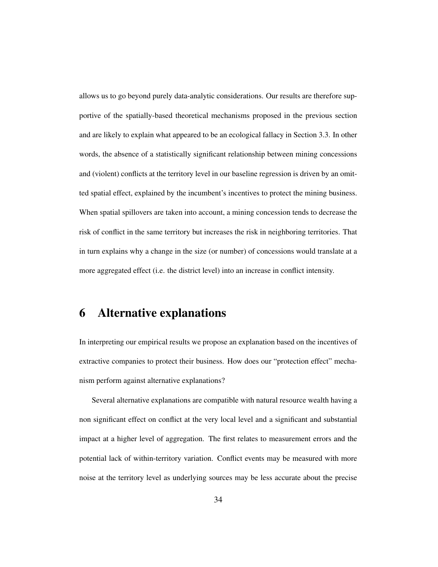allows us to go beyond purely data-analytic considerations. Our results are therefore supportive of the spatially-based theoretical mechanisms proposed in the previous section and are likely to explain what appeared to be an ecological fallacy in Section 3.3. In other words, the absence of a statistically significant relationship between mining concessions and (violent) conflicts at the territory level in our baseline regression is driven by an omitted spatial effect, explained by the incumbent's incentives to protect the mining business. When spatial spillovers are taken into account, a mining concession tends to decrease the risk of conflict in the same territory but increases the risk in neighboring territories. That in turn explains why a change in the size (or number) of concessions would translate at a more aggregated effect (i.e. the district level) into an increase in conflict intensity.

#### 6 Alternative explanations

In interpreting our empirical results we propose an explanation based on the incentives of extractive companies to protect their business. How does our "protection effect" mechanism perform against alternative explanations?

Several alternative explanations are compatible with natural resource wealth having a non significant effect on conflict at the very local level and a significant and substantial impact at a higher level of aggregation. The first relates to measurement errors and the potential lack of within-territory variation. Conflict events may be measured with more noise at the territory level as underlying sources may be less accurate about the precise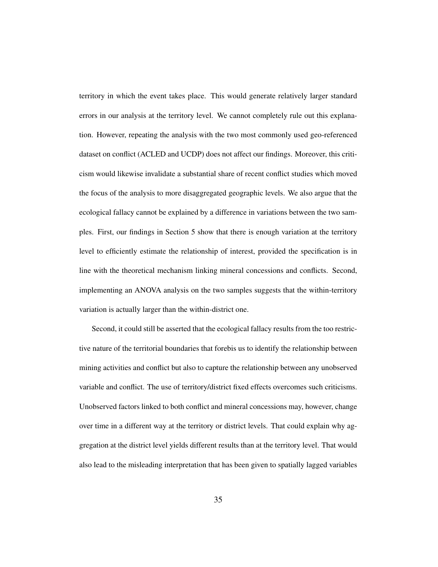territory in which the event takes place. This would generate relatively larger standard errors in our analysis at the territory level. We cannot completely rule out this explanation. However, repeating the analysis with the two most commonly used geo-referenced dataset on conflict (ACLED and UCDP) does not affect our findings. Moreover, this criticism would likewise invalidate a substantial share of recent conflict studies which moved the focus of the analysis to more disaggregated geographic levels. We also argue that the ecological fallacy cannot be explained by a difference in variations between the two samples. First, our findings in Section 5 show that there is enough variation at the territory level to efficiently estimate the relationship of interest, provided the specification is in line with the theoretical mechanism linking mineral concessions and conflicts. Second, implementing an ANOVA analysis on the two samples suggests that the within-territory variation is actually larger than the within-district one.

Second, it could still be asserted that the ecological fallacy results from the too restrictive nature of the territorial boundaries that forebis us to identify the relationship between mining activities and conflict but also to capture the relationship between any unobserved variable and conflict. The use of territory/district fixed effects overcomes such criticisms. Unobserved factors linked to both conflict and mineral concessions may, however, change over time in a different way at the territory or district levels. That could explain why aggregation at the district level yields different results than at the territory level. That would also lead to the misleading interpretation that has been given to spatially lagged variables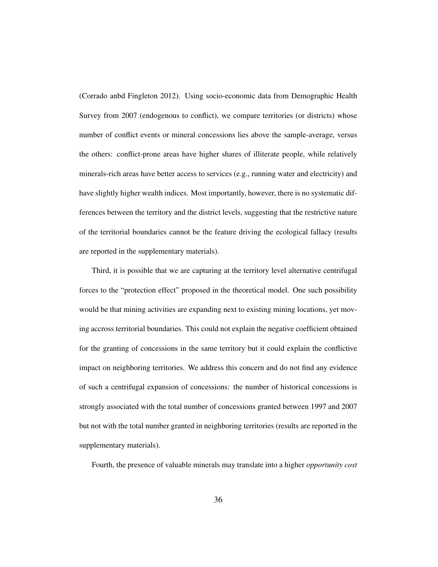(Corrado anbd Fingleton 2012). Using socio-economic data from Demographic Health Survey from 2007 (endogenous to conflict), we compare territories (or districts) whose number of conflict events or mineral concessions lies above the sample-average, versus the others: conflict-prone areas have higher shares of illiterate people, while relatively minerals-rich areas have better access to services (e.g., running water and electricity) and have slightly higher wealth indices. Most importantly, however, there is no systematic differences between the territory and the district levels, suggesting that the restrictive nature of the territorial boundaries cannot be the feature driving the ecological fallacy (results are reported in the supplementary materials).

Third, it is possible that we are capturing at the territory level alternative centrifugal forces to the "protection effect" proposed in the theoretical model. One such possibility would be that mining activities are expanding next to existing mining locations, yet moving accross territorial boundaries. This could not explain the negative coefficient obtained for the granting of concessions in the same territory but it could explain the conflictive impact on neighboring territories. We address this concern and do not find any evidence of such a centrifugal expansion of concessions: the number of historical concessions is strongly associated with the total number of concessions granted between 1997 and 2007 but not with the total number granted in neighboring territories (results are reported in the supplementary materials).

Fourth, the presence of valuable minerals may translate into a higher *opportunity cost*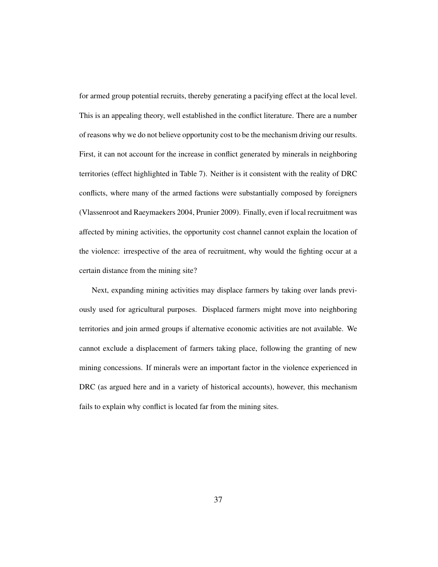for armed group potential recruits, thereby generating a pacifying effect at the local level. This is an appealing theory, well established in the conflict literature. There are a number of reasons why we do not believe opportunity cost to be the mechanism driving our results. First, it can not account for the increase in conflict generated by minerals in neighboring territories (effect highlighted in Table 7). Neither is it consistent with the reality of DRC conflicts, where many of the armed factions were substantially composed by foreigners (Vlassenroot and Raeymaekers 2004, Prunier 2009). Finally, even if local recruitment was affected by mining activities, the opportunity cost channel cannot explain the location of the violence: irrespective of the area of recruitment, why would the fighting occur at a certain distance from the mining site?

Next, expanding mining activities may displace farmers by taking over lands previously used for agricultural purposes. Displaced farmers might move into neighboring territories and join armed groups if alternative economic activities are not available. We cannot exclude a displacement of farmers taking place, following the granting of new mining concessions. If minerals were an important factor in the violence experienced in DRC (as argued here and in a variety of historical accounts), however, this mechanism fails to explain why conflict is located far from the mining sites.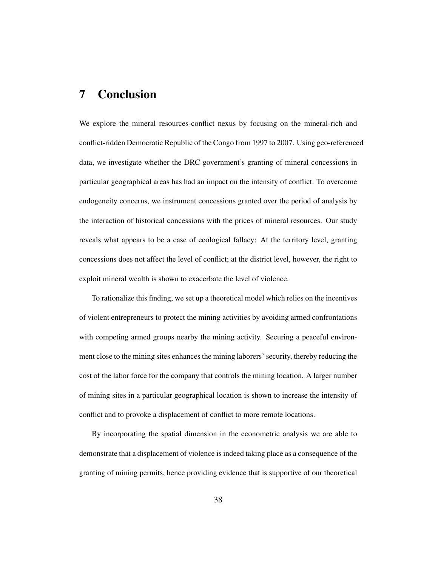## 7 Conclusion

We explore the mineral resources-conflict nexus by focusing on the mineral-rich and conflict-ridden Democratic Republic of the Congo from 1997 to 2007. Using geo-referenced data, we investigate whether the DRC government's granting of mineral concessions in particular geographical areas has had an impact on the intensity of conflict. To overcome endogeneity concerns, we instrument concessions granted over the period of analysis by the interaction of historical concessions with the prices of mineral resources. Our study reveals what appears to be a case of ecological fallacy: At the territory level, granting concessions does not affect the level of conflict; at the district level, however, the right to exploit mineral wealth is shown to exacerbate the level of violence.

To rationalize this finding, we set up a theoretical model which relies on the incentives of violent entrepreneurs to protect the mining activities by avoiding armed confrontations with competing armed groups nearby the mining activity. Securing a peaceful environment close to the mining sites enhances the mining laborers' security, thereby reducing the cost of the labor force for the company that controls the mining location. A larger number of mining sites in a particular geographical location is shown to increase the intensity of conflict and to provoke a displacement of conflict to more remote locations.

By incorporating the spatial dimension in the econometric analysis we are able to demonstrate that a displacement of violence is indeed taking place as a consequence of the granting of mining permits, hence providing evidence that is supportive of our theoretical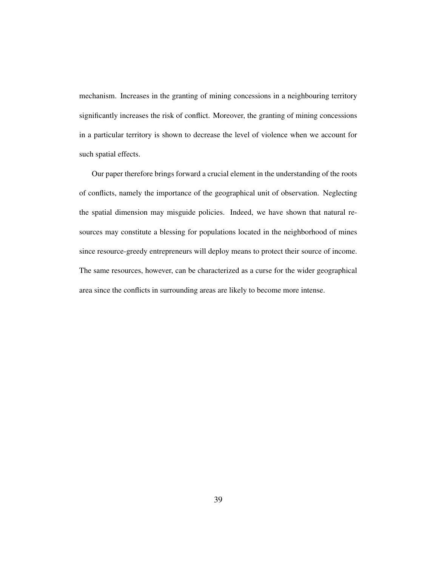mechanism. Increases in the granting of mining concessions in a neighbouring territory significantly increases the risk of conflict. Moreover, the granting of mining concessions in a particular territory is shown to decrease the level of violence when we account for such spatial effects.

Our paper therefore brings forward a crucial element in the understanding of the roots of conflicts, namely the importance of the geographical unit of observation. Neglecting the spatial dimension may misguide policies. Indeed, we have shown that natural resources may constitute a blessing for populations located in the neighborhood of mines since resource-greedy entrepreneurs will deploy means to protect their source of income. The same resources, however, can be characterized as a curse for the wider geographical area since the conflicts in surrounding areas are likely to become more intense.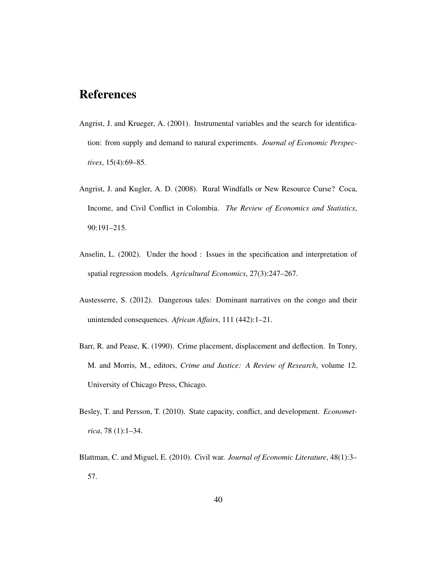## References

- Angrist, J. and Krueger, A. (2001). Instrumental variables and the search for identification: from supply and demand to natural experiments. *Journal of Economic Perspectives*, 15(4):69–85.
- Angrist, J. and Kugler, A. D. (2008). Rural Windfalls or New Resource Curse? Coca, Income, and Civil Conflict in Colombia. *The Review of Economics and Statistics*, 90:191–215.
- Anselin, L. (2002). Under the hood : Issues in the specification and interpretation of spatial regression models. *Agricultural Economics*, 27(3):247–267.
- Austesserre, S. (2012). Dangerous tales: Dominant narratives on the congo and their unintended consequences. *African Affairs*, 111 (442):1–21.
- Barr, R. and Pease, K. (1990). Crime placement, displacement and deflection. In Tonry, M. and Morris, M., editors, *Crime and Justice: A Review of Research*, volume 12. University of Chicago Press, Chicago.
- Besley, T. and Persson, T. (2010). State capacity, conflict, and development. *Econometrica*, 78 (1):1–34.
- Blattman, C. and Miguel, E. (2010). Civil war. *Journal of Economic Literature*, 48(1):3– 57.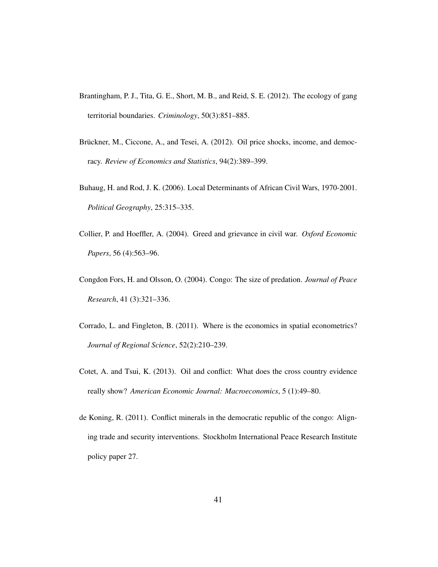- Brantingham, P. J., Tita, G. E., Short, M. B., and Reid, S. E. (2012). The ecology of gang territorial boundaries. *Criminology*, 50(3):851–885.
- Brückner, M., Ciccone, A., and Tesei, A. (2012). Oil price shocks, income, and democracy. *Review of Economics and Statistics*, 94(2):389–399.
- Buhaug, H. and Rod, J. K. (2006). Local Determinants of African Civil Wars, 1970-2001. *Political Geography*, 25:315–335.
- Collier, P. and Hoeffler, A. (2004). Greed and grievance in civil war. *Oxford Economic Papers*, 56 (4):563–96.
- Congdon Fors, H. and Olsson, O. (2004). Congo: The size of predation. *Journal of Peace Research*, 41 (3):321–336.
- Corrado, L. and Fingleton, B. (2011). Where is the economics in spatial econometrics? *Journal of Regional Science*, 52(2):210–239.
- Cotet, A. and Tsui, K. (2013). Oil and conflict: What does the cross country evidence really show? *American Economic Journal: Macroeconomics*, 5 (1):49–80.
- de Koning, R. (2011). Conflict minerals in the democratic republic of the congo: Aligning trade and security interventions. Stockholm International Peace Research Institute policy paper 27.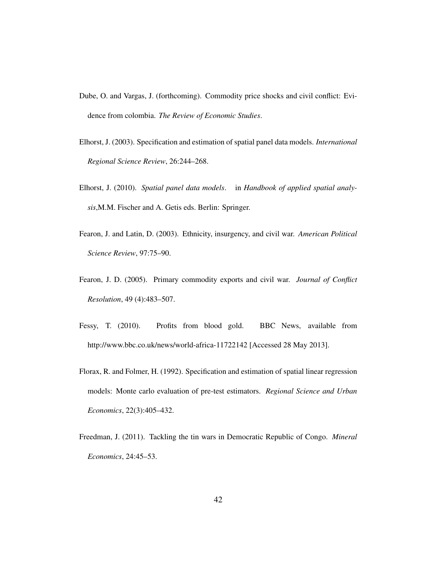- Dube, O. and Vargas, J. (forthcoming). Commodity price shocks and civil conflict: Evidence from colombia. *The Review of Economic Studies*.
- Elhorst, J. (2003). Specification and estimation of spatial panel data models. *International Regional Science Review*, 26:244–268.
- Elhorst, J. (2010). *Spatial panel data models*. in *Handbook of applied spatial analysis*,M.M. Fischer and A. Getis eds. Berlin: Springer.
- Fearon, J. and Latin, D. (2003). Ethnicity, insurgency, and civil war. *American Political Science Review*, 97:75–90.
- Fearon, J. D. (2005). Primary commodity exports and civil war. *Journal of Conflict Resolution*, 49 (4):483–507.
- Fessy, T. (2010). Profits from blood gold. BBC News, available from http://www.bbc.co.uk/news/world-africa-11722142 [Accessed 28 May 2013].
- Florax, R. and Folmer, H. (1992). Specification and estimation of spatial linear regression models: Monte carlo evaluation of pre-test estimators. *Regional Science and Urban Economics*, 22(3):405–432.
- Freedman, J. (2011). Tackling the tin wars in Democratic Republic of Congo. *Mineral Economics*, 24:45–53.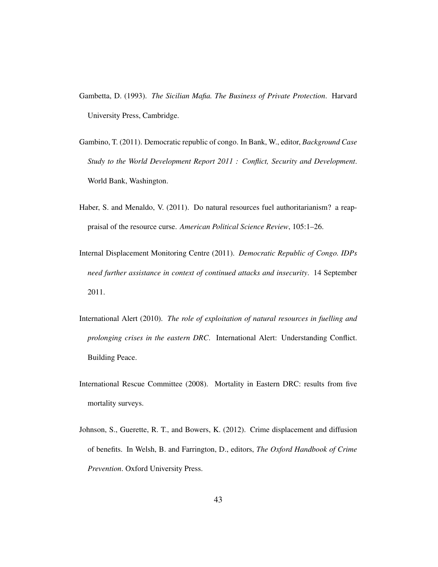- Gambetta, D. (1993). *The Sicilian Mafia. The Business of Private Protection*. Harvard University Press, Cambridge.
- Gambino, T. (2011). Democratic republic of congo. In Bank, W., editor, *Background Case Study to the World Development Report 2011 : Conflict, Security and Development*. World Bank, Washington.
- Haber, S. and Menaldo, V. (2011). Do natural resources fuel authoritarianism? a reappraisal of the resource curse. *American Political Science Review*, 105:1–26.
- Internal Displacement Monitoring Centre (2011). *Democratic Republic of Congo. IDPs need further assistance in context of continued attacks and insecurity*. 14 September 2011.
- International Alert (2010). *The role of exploitation of natural resources in fuelling and prolonging crises in the eastern DRC*. International Alert: Understanding Conflict. Building Peace.
- International Rescue Committee (2008). Mortality in Eastern DRC: results from five mortality surveys.
- Johnson, S., Guerette, R. T., and Bowers, K. (2012). Crime displacement and diffusion of benefits. In Welsh, B. and Farrington, D., editors, *The Oxford Handbook of Crime Prevention*. Oxford University Press.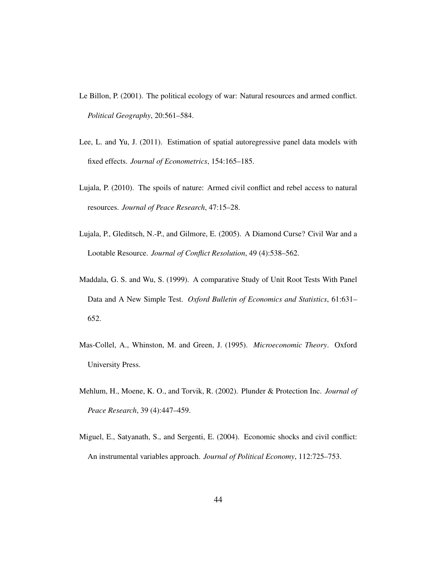- Le Billon, P. (2001). The political ecology of war: Natural resources and armed conflict. *Political Geography*, 20:561–584.
- Lee, L. and Yu, J. (2011). Estimation of spatial autoregressive panel data models with fixed effects. *Journal of Econometrics*, 154:165–185.
- Lujala, P. (2010). The spoils of nature: Armed civil conflict and rebel access to natural resources. *Journal of Peace Research*, 47:15–28.
- Lujala, P., Gleditsch, N.-P., and Gilmore, E. (2005). A Diamond Curse? Civil War and a Lootable Resource. *Journal of Conflict Resolution*, 49 (4):538–562.
- Maddala, G. S. and Wu, S. (1999). A comparative Study of Unit Root Tests With Panel Data and A New Simple Test. *Oxford Bulletin of Economics and Statistics*, 61:631– 652.
- Mas-Collel, A., Whinston, M. and Green, J. (1995). *Microeconomic Theory*. Oxford University Press.
- Mehlum, H., Moene, K. O., and Torvik, R. (2002). Plunder & Protection Inc. *Journal of Peace Research*, 39 (4):447–459.
- Miguel, E., Satyanath, S., and Sergenti, E. (2004). Economic shocks and civil conflict: An instrumental variables approach. *Journal of Political Economy*, 112:725–753.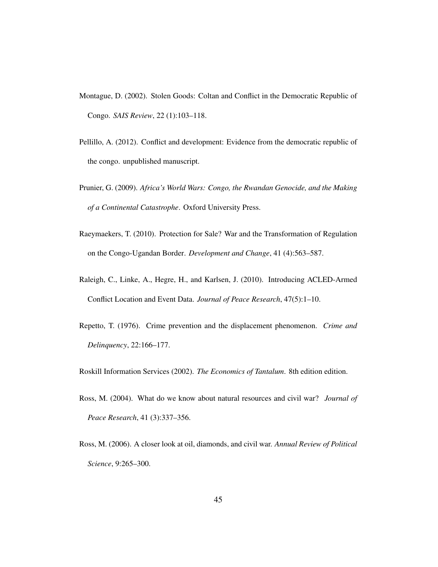- Montague, D. (2002). Stolen Goods: Coltan and Conflict in the Democratic Republic of Congo. *SAIS Review*, 22 (1):103–118.
- Pellillo, A. (2012). Conflict and development: Evidence from the democratic republic of the congo. unpublished manuscript.
- Prunier, G. (2009). *Africa's World Wars: Congo, the Rwandan Genocide, and the Making of a Continental Catastrophe*. Oxford University Press.
- Raeymaekers, T. (2010). Protection for Sale? War and the Transformation of Regulation on the Congo-Ugandan Border. *Development and Change*, 41 (4):563–587.
- Raleigh, C., Linke, A., Hegre, H., and Karlsen, J. (2010). Introducing ACLED-Armed Conflict Location and Event Data. *Journal of Peace Research*, 47(5):1–10.
- Repetto, T. (1976). Crime prevention and the displacement phenomenon. *Crime and Delinquency*, 22:166–177.

Roskill Information Services (2002). *The Economics of Tantalum*. 8th edition edition.

- Ross, M. (2004). What do we know about natural resources and civil war? *Journal of Peace Research*, 41 (3):337–356.
- Ross, M. (2006). A closer look at oil, diamonds, and civil war. *Annual Review of Political Science*, 9:265–300.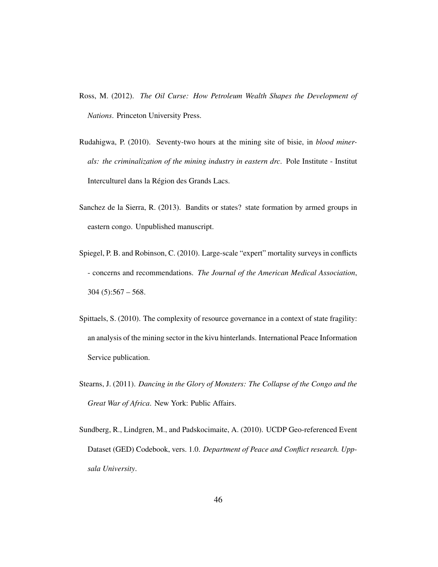- Ross, M. (2012). *The Oil Curse: How Petroleum Wealth Shapes the Development of Nations*. Princeton University Press.
- Rudahigwa, P. (2010). Seventy-two hours at the mining site of bisie, in *blood minerals: the criminalization of the mining industry in eastern drc*. Pole Institute - Institut Interculturel dans la Région des Grands Lacs.
- Sanchez de la Sierra, R. (2013). Bandits or states? state formation by armed groups in eastern congo. Unpublished manuscript.
- Spiegel, P. B. and Robinson, C. (2010). Large-scale "expert" mortality surveys in conflicts - concerns and recommendations. *The Journal of the American Medical Association*,  $304 (5):567 - 568.$
- Spittaels, S. (2010). The complexity of resource governance in a context of state fragility: an analysis of the mining sector in the kivu hinterlands. International Peace Information Service publication.
- Stearns, J. (2011). *Dancing in the Glory of Monsters: The Collapse of the Congo and the Great War of Africa*. New York: Public Affairs.
- Sundberg, R., Lindgren, M., and Padskocimaite, A. (2010). UCDP Geo-referenced Event Dataset (GED) Codebook, vers. 1.0. *Department of Peace and Conflict research. Uppsala University*.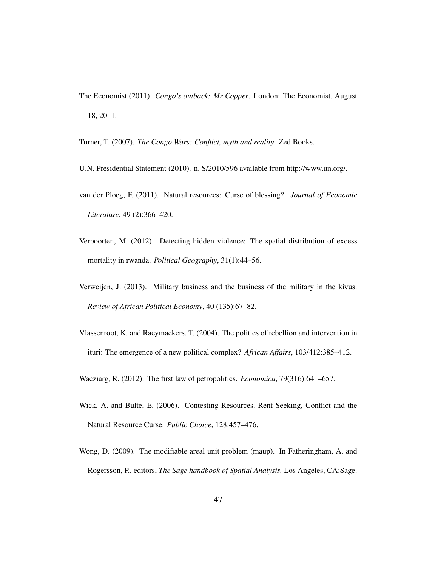- The Economist (2011). *Congo's outback: Mr Copper*. London: The Economist. August 18, 2011.
- Turner, T. (2007). *The Congo Wars: Conflict, myth and reality*. Zed Books.
- U.N. Presidential Statement (2010). n. S/2010/596 available from http://www.un.org/.
- van der Ploeg, F. (2011). Natural resources: Curse of blessing? *Journal of Economic Literature*, 49 (2):366–420.
- Verpoorten, M. (2012). Detecting hidden violence: The spatial distribution of excess mortality in rwanda. *Political Geography*, 31(1):44–56.
- Verweijen, J. (2013). Military business and the business of the military in the kivus. *Review of African Political Economy*, 40 (135):67–82.
- Vlassenroot, K. and Raeymaekers, T. (2004). The politics of rebellion and intervention in ituri: The emergence of a new political complex? *African Affairs*, 103/412:385–412.
- Wacziarg, R. (2012). The first law of petropolitics. *Economica*, 79(316):641–657.
- Wick, A. and Bulte, E. (2006). Contesting Resources. Rent Seeking, Conflict and the Natural Resource Curse. *Public Choice*, 128:457–476.
- Wong, D. (2009). The modifiable areal unit problem (maup). In Fatheringham, A. and Rogersson, P., editors, *The Sage handbook of Spatial Analysis.* Los Angeles, CA:Sage.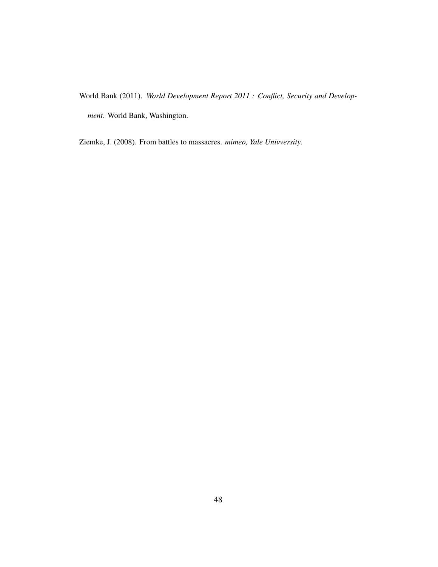World Bank (2011). *World Development Report 2011 : Conflict, Security and Development*. World Bank, Washington.

Ziemke, J. (2008). From battles to massacres. *mimeo, Yale Univversity*.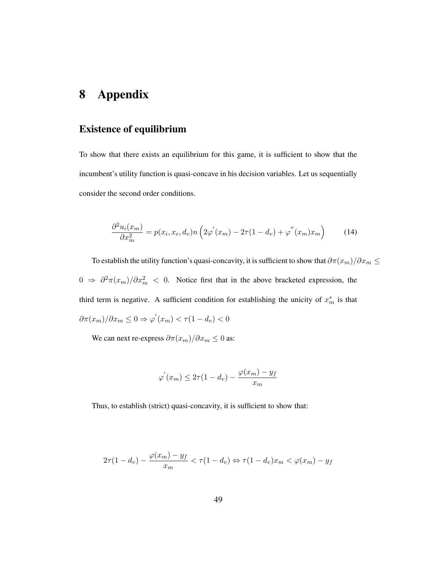### 8 Appendix

#### Existence of equilibrium

To show that there exists an equilibrium for this game, it is sufficient to show that the incumbent's utility function is quasi-concave in his decision variables. Let us sequentially consider the second order conditions.

$$
\frac{\partial^2 u_i(x_m)}{\partial x_m^2} = p(x_i, x_c, d_v) n \left( 2\varphi'(x_m) - 2\tau (1 - d_v) + \varphi''(x_m) x_m \right) \tag{14}
$$

To establish the utility function's quasi-concavity, it is sufficient to show that  $\partial \pi(x_m)/\partial x_m \leq 0$  $0$  ⇒  $\partial^2 \pi(x_m)/\partial x_m^2$  < 0. Notice first that in the above bracketed expression, the third term is negative. A sufficient condition for establishing the unicity of  $x_m^*$  is that  $\partial \pi(x_m) / \partial x_m \leq 0 \Rightarrow \varphi'(x_m) < \tau(1 - d_v) < 0$ 

We can next re-express  $\partial \pi(x_m)/\partial x_m \leq 0$  as:

$$
\varphi'(x_m) \leq 2\tau (1 - d_v) - \frac{\varphi(x_m) - y_f}{x_m}
$$

Thus, to establish (strict) quasi-concavity, it is sufficient to show that:

$$
2\tau(1-d_v) - \frac{\varphi(x_m) - y_f}{x_m} < \tau(1-d_v) \Leftrightarrow \tau(1-d_v)x_m < \varphi(x_m) - y_f
$$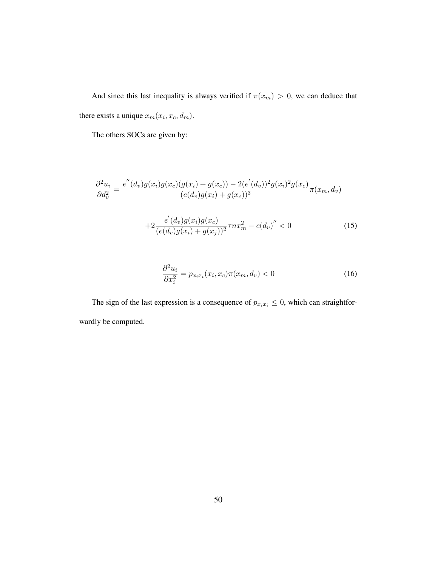And since this last inequality is always verified if  $\pi(x_m) > 0$ , we can deduce that there exists a unique  $x_m(x_i, x_c, d_m)$ .

The others SOCs are given by:

$$
\frac{\partial^2 u_i}{\partial d_v^2} = \frac{e''(d_v)g(x_i)g(x_c)(g(x_i) + g(x_c)) - 2(e'(d_v))^2 g(x_i)^2 g(x_c)}{(e(d_v)g(x_i) + g(x_c))^3} \pi(x_m, d_v)
$$

$$
+ 2 \frac{e'(d_v)g(x_i)g(x_c)}{(e(d_v)g(x_i) + g(x_j))^2} \tau nx_m^2 - c(d_v)'' < 0 \tag{15}
$$

$$
\frac{\partial^2 u_i}{\partial x_i^2} = p_{x_i x_i}(x_i, x_c) \pi(x_m, d_v) < 0 \tag{16}
$$

The sign of the last expression is a consequence of  $p_{x_ix_i} \leq 0$ , which can straightforwardly be computed.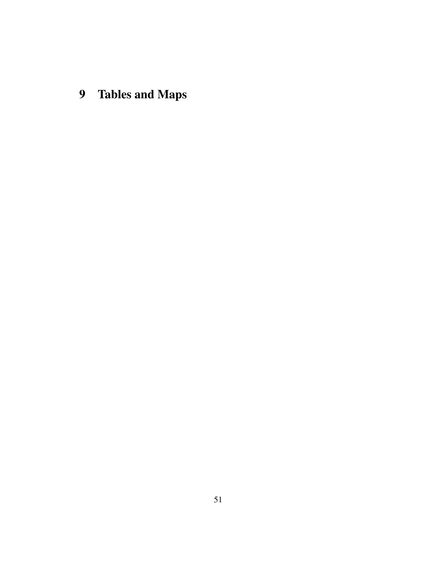9 Tables and Maps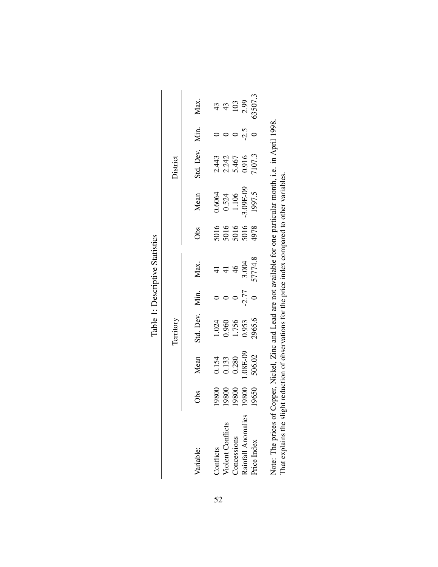|                          |                                  |                                                                    | Territory                         |         |                                                         |                                      |                                                                                              | District                                    |        |                    |
|--------------------------|----------------------------------|--------------------------------------------------------------------|-----------------------------------|---------|---------------------------------------------------------|--------------------------------------|----------------------------------------------------------------------------------------------|---------------------------------------------|--------|--------------------|
| Variable:                | Obs                              | Mean                                                               | Std. Dev.                         | Min.    | Max.                                                    | Obs                                  | Mean                                                                                         | Std. Dev. Min.                              |        | Max.               |
| Conflicts                |                                  |                                                                    |                                   |         |                                                         |                                      |                                                                                              |                                             |        |                    |
| <b>Violent Conflicts</b> | 19800<br>19800<br>19800<br>19800 | $\begin{array}{c} 0.154 \\ 0.133 \\ 0.280 \\ 1.08E-09 \end{array}$ | 1.024<br>0.960<br>1.756<br>2965.6 |         | $41$<br>$41$<br>$46$<br>$3.004$<br>$3.004$<br>$57774.8$ | 5016<br>5016<br>5016<br>5016<br>4978 | 0.6064<br>0.524<br>1.106<br>3.09E-09<br>1997.5                                               | 2.443<br>2.242<br>5.467<br>0.916<br>7.017.3 |        | 43 E S.<br>43 E S. |
| <b>Concessions</b>       |                                  |                                                                    |                                   |         |                                                         |                                      |                                                                                              |                                             |        |                    |
| Rainfall Anomalies       |                                  |                                                                    |                                   | $-2.77$ |                                                         |                                      |                                                                                              |                                             | $-2.5$ |                    |
| Price Index              | 19650                            | 506.02                                                             |                                   |         |                                                         |                                      |                                                                                              |                                             |        | 63507.3            |
|                          |                                  |                                                                    |                                   |         |                                                         |                                      |                                                                                              |                                             |        |                    |
| Note: The prices of      |                                  |                                                                    |                                   |         |                                                         |                                      | Copper, Nickel, Zinc and Lead are not available for one particular month, i.e. in April 1998 |                                             |        |                    |

Table 1: Descriptive Statistics Table 1: Descriptive Statistics

That explains the slight reduction of observations for the price index compared to other variables. That explains the slight reduction of observations for the price index compared to other variables.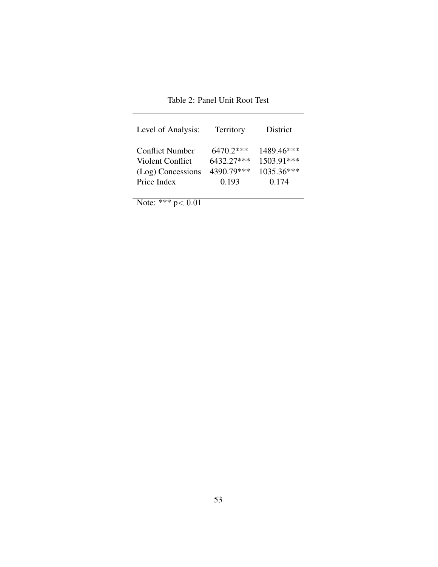| Level of Analysis:     | Territory   | District   |
|------------------------|-------------|------------|
| <b>Conflict Number</b> | $6470.2***$ | 1489.46*** |
| Violent Conflict       | 6432.27***  | 1503.91*** |
| (Log) Concessions      | 4390.79***  | 1035.36*** |
| Price Index            | 0.193       | 0.174      |

Table 2: Panel Unit Root Test

 $=$ 

Note: \*\*\*  $p < 0.01$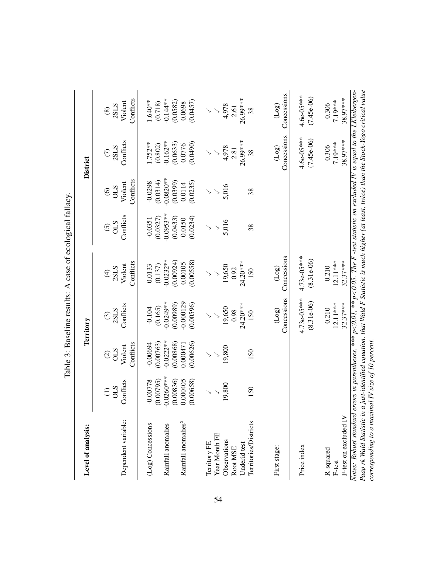|                                                                                                                                                                                                                                                                                                                                                          |                                                                               |                                                                             |                                                                             | Table 3: Baseline results: A case of ecological fallacy.              |                                                                        |                                                                       |                                                                       |                                                                    |
|----------------------------------------------------------------------------------------------------------------------------------------------------------------------------------------------------------------------------------------------------------------------------------------------------------------------------------------------------------|-------------------------------------------------------------------------------|-----------------------------------------------------------------------------|-----------------------------------------------------------------------------|-----------------------------------------------------------------------|------------------------------------------------------------------------|-----------------------------------------------------------------------|-----------------------------------------------------------------------|--------------------------------------------------------------------|
| Level of analysis:                                                                                                                                                                                                                                                                                                                                       |                                                                               |                                                                             | Territory                                                                   |                                                                       |                                                                        |                                                                       | <b>District</b>                                                       |                                                                    |
| Dependent variable:                                                                                                                                                                                                                                                                                                                                      | Conflicts<br>STO<br>$\widehat{\Xi}$                                           | Conflicts<br>Violent<br>STIO<br>$\widehat{\odot}$                           | Conflicts<br>$\frac{(3)}{2SLS}$                                             | Conflicts<br>Violent<br>$rac{(4)}{2SLS}$                              | Conflicts<br>OLS<br>$\widehat{\odot}$                                  | Conflicts<br>Violent<br>STIO<br>$\widehat{\circ}$                     | Conflicts<br>$\frac{(7)}{2SLS}$                                       | Conflicts<br>Violent<br>2SLS<br>$\circledS$                        |
| Rainfall anomalies <sup>2</sup><br>(Log) Concessions<br>Rainfall anomalies                                                                                                                                                                                                                                                                               | $-0.0260***$<br>(0.00795)<br>(0.00836)<br>0.000405<br>(0.00658)<br>$-0.00778$ | $-0.0222**$<br>0.00868)<br>(0.00763)<br>(0.00626)<br>$-0.00694$<br>0.000471 | $-0.000129$<br>$-0.0249**$<br>(0.00989)<br>(0.00596)<br>(0.165)<br>$-0.104$ | $-0.0232**$<br>(0.00924)<br>(0.00558)<br>0.00105<br>0.0133<br>(0.137) | $-0.0953**$<br>(0.0327)<br>(0.0433)<br>(0.0234)<br>0.0150<br>$-0.0351$ | $0.0820**$<br>(0.0314)<br>(0.0399)<br>$-0.0298$<br>(0.0235)<br>0.0114 | $-0.162***$<br>$1.752**$<br>(0.0490)<br>(0.0633)<br>(0.802)<br>0.0776 | $-0.144**$<br>(0.0582)<br>1.640**<br>(0.0457)<br>(0.718)<br>0.0698 |
| Year Month FE<br>Observations<br>Territory FE<br>Underid test<br>Root MSE                                                                                                                                                                                                                                                                                | 19,800                                                                        | 19,800                                                                      | $24.20***$<br>19,650<br>0.98                                                | 24.20***<br>19,650<br>0.92                                            | 5,016                                                                  | 5,016                                                                 | 26.99***<br>4,978<br>2.81                                             | 26.99***<br>4,978<br>2.61                                          |
| Territories/Districts<br>First stage:                                                                                                                                                                                                                                                                                                                    | 150                                                                           | 150                                                                         | Concessions<br>$($ Log $)$<br>150                                           | Concessions<br>(Log)<br>150                                           | 38                                                                     | 38                                                                    | Concessions<br>$(\log$<br>38                                          | Concessions<br>$^{(log)}$<br>38                                    |
| Price index                                                                                                                                                                                                                                                                                                                                              |                                                                               |                                                                             | $4.73e-05***$<br>$(8.31e-06)$                                               | $4.73e-05***$<br>$(8.31e-06)$                                         |                                                                        |                                                                       | $4.6e-05***$<br>$(7.45e-06)$                                          | $4.6e-05***$<br>$(7.45e-06)$                                       |
| F-test on excluded IV<br>R-squared<br>F-test                                                                                                                                                                                                                                                                                                             |                                                                               |                                                                             | $12.11***$<br>$32.37***$<br>0.210                                           | $32.37***$<br>$12.11***$<br>0.210                                     |                                                                        |                                                                       | 38.97***<br>7.19***<br>0.306                                          | 38.97***<br>7.19***<br>0.306                                       |
| Notes: Robust standard errors in parentheses, *** $p < 0.01$ , ** $p < 0.05$ . The F -test statistic on excluded IV is equal to the LKleibergen-<br>Paap rk Wald Statistic in a just-identified equation. that Wald F Statistic is much higher (at least, twice) than the Stock-Yogo critical value<br>corresponding to a maximal IV size of 10 percent. |                                                                               |                                                                             |                                                                             |                                                                       |                                                                        |                                                                       |                                                                       |                                                                    |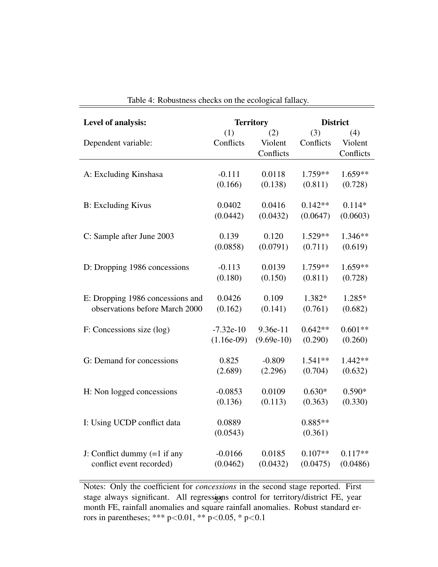| Level of analysis:               |              | <b>Territory</b> | <b>District</b> |           |
|----------------------------------|--------------|------------------|-----------------|-----------|
|                                  | (1)          | (2)              | (3)             | (4)       |
| Dependent variable:              | Conflicts    | Violent          | Conflicts       | Violent   |
|                                  |              | Conflicts        |                 | Conflicts |
|                                  |              |                  |                 |           |
| A: Excluding Kinshasa            | $-0.111$     | 0.0118           | $1.759**$       | $1.659**$ |
|                                  | (0.166)      | (0.138)          | (0.811)         | (0.728)   |
|                                  |              |                  |                 |           |
| <b>B:</b> Excluding Kivus        | 0.0402       | 0.0416           | $0.142**$       | $0.114*$  |
|                                  | (0.0442)     | (0.0432)         | (0.0647)        | (0.0603)  |
|                                  |              |                  |                 |           |
| C: Sample after June 2003        | 0.139        | 0.120            | 1.529**         | 1.346**   |
|                                  | (0.0858)     | (0.0791)         | (0.711)         | (0.619)   |
|                                  |              |                  |                 |           |
| D: Dropping 1986 concessions     | $-0.113$     | 0.0139           | 1.759 **        | 1.659**   |
|                                  | (0.180)      | (0.150)          | (0.811)         | (0.728)   |
|                                  |              |                  |                 |           |
| E: Dropping 1986 concessions and | 0.0426       | 0.109            | 1.382*          | 1.285*    |
| observations before March 2000   | (0.162)      | (0.141)          | (0.761)         | (0.682)   |
|                                  |              |                  |                 |           |
| F: Concessions size (log)        | $-7.32e-10$  | 9.36e-11         | $0.642**$       | $0.601**$ |
|                                  | $(1.16e-09)$ | $(9.69e-10)$     | (0.290)         | (0.260)   |
|                                  |              |                  |                 |           |
| G: Demand for concessions        | 0.825        | $-0.809$         | 1.541**         | 1.442**   |
|                                  | (2.689)      | (2.296)          | (0.704)         | (0.632)   |
|                                  |              |                  |                 |           |
| H: Non logged concessions        | $-0.0853$    | 0.0109           | $0.630*$        | $0.590*$  |
|                                  | (0.136)      | (0.113)          | (0.363)         | (0.330)   |
|                                  |              |                  |                 |           |
| I: Using UCDP conflict data      | 0.0889       |                  | $0.885**$       |           |
|                                  | (0.0543)     |                  | (0.361)         |           |
|                                  |              |                  |                 |           |
| J: Conflict dummy $(=1$ if any   | $-0.0166$    | 0.0185           | $0.107**$       | $0.117**$ |
| conflict event recorded)         | (0.0462)     | (0.0432)         | (0.0475)        | (0.0486)  |
|                                  |              |                  |                 |           |

Table 4: Robustness checks on the ecological fallacy.

Notes: Only the coefficient for *concessions* in the second stage reported. First stage always significant. All regressions control for territory/district FE, year month FE, rainfall anomalies and square rainfall anomalies. Robust standard errors in parentheses; \*\*\* p<0.01, \*\* p<0.05, \* p<0.1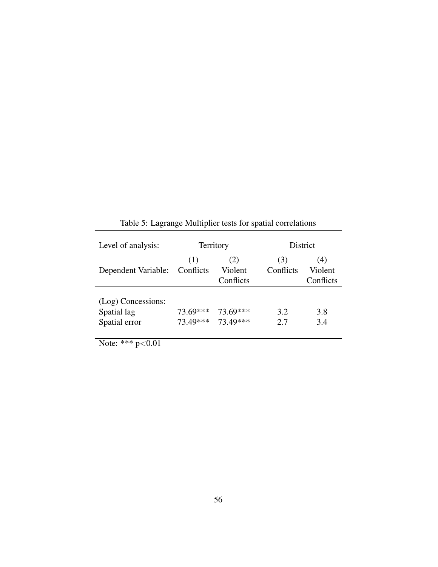| Level of analysis:  |                  | Territory                   |                  | District                    |
|---------------------|------------------|-----------------------------|------------------|-----------------------------|
| Dependent Variable: | (1)<br>Conflicts | (2)<br>Violent<br>Conflicts | (3)<br>Conflicts | (4)<br>Violent<br>Conflicts |
|                     |                  |                             |                  |                             |
| (Log) Concessions:  |                  |                             |                  |                             |
| Spatial lag         | 73.69***         | 73.69***                    | 3.2              | 3.8                         |
| Spatial error       |                  | 73.49*** 73.49***           | 2.7              | 3.4                         |

Table 5: Lagrange Multiplier tests for spatial correlations

 $=$ 

Note: \*\*\*  $p < 0.01$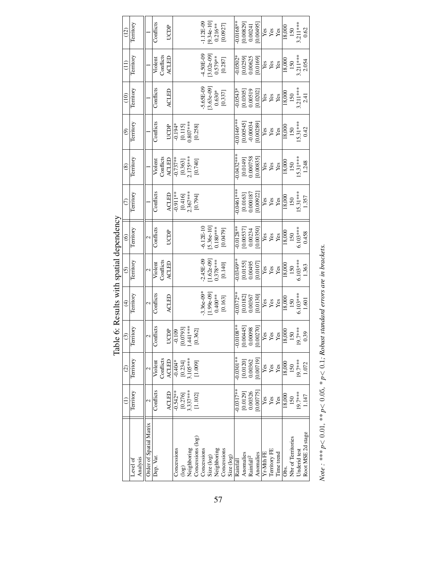|                         | €                              | $\odot$                                   | $\overline{c}$                                                                                 | $\widehat{f}$                                                  | $\odot$                       | $\circledcirc$                     | $\odot$                                                       | $\circledast$                                                      | $\widehat{\mathfrak{S}}$                                                         | (10)                                                        | $\frac{1}{2}$                 | (12)                                                             |
|-------------------------|--------------------------------|-------------------------------------------|------------------------------------------------------------------------------------------------|----------------------------------------------------------------|-------------------------------|------------------------------------|---------------------------------------------------------------|--------------------------------------------------------------------|----------------------------------------------------------------------------------|-------------------------------------------------------------|-------------------------------|------------------------------------------------------------------|
| Level of                | Territory                      | Territory                                 | Territory                                                                                      | Territory                                                      | Territory                     | Territory                          | Territory                                                     | Territory                                                          | Territory                                                                        | Territory                                                   | Territory                     | Territory                                                        |
| Analysis                |                                |                                           |                                                                                                |                                                                |                               |                                    |                                                               |                                                                    |                                                                                  |                                                             |                               |                                                                  |
| Order of Spatial Matrix | 2                              |                                           | $\mathbf{c}$                                                                                   | 2                                                              | 2                             | 2                                  |                                                               |                                                                    |                                                                                  |                                                             |                               |                                                                  |
| Dep. Var.               | Conflicts                      | Violent                                   | Conflicts                                                                                      | Conflicts                                                      | Violent                       | Conflicts                          | Conflicts                                                     | Violent                                                            | Conflicts                                                                        | Conflicts                                                   | Violent                       | Conflicts                                                        |
|                         |                                | Conflicts                                 |                                                                                                |                                                                | Conflicts                     |                                    |                                                               | Conflicts                                                          |                                                                                  |                                                             | Conflicts                     |                                                                  |
|                         | ACLED                          | <b>ACLED</b>                              | UCDP<br>$\frac{1}{0.109}$<br>[0.0793]<br>1.441***                                              | ACLED                                                          | <b>ACLED</b>                  | UCDP                               | <b>ACLED</b>                                                  | ACLED                                                              | UCDP                                                                             | ACLED                                                       | <b>ACLED</b>                  | UCDP                                                             |
| Concessions             | $-0.542**$                     |                                           |                                                                                                |                                                                |                               |                                    | $-0.911**$                                                    | $-0.737**$                                                         |                                                                                  |                                                             |                               |                                                                  |
| (go                     | $[0.276]$ $3.337***$ $[1.102]$ | $\frac{1}{10.234}$<br>[0.234]<br>3.105*** |                                                                                                |                                                                |                               |                                    | $\begin{array}{c} [0.416] \\ 2.367*** \\ [0.794] \end{array}$ | $\begin{bmatrix} 0.363 \\ 2.175*** \\ 0.740 \end{bmatrix}$         | $\frac{1}{10.115}$<br>$\begin{bmatrix} 0.115 \\ 0.807*** \\ 0.258 \end{bmatrix}$ |                                                             |                               |                                                                  |
| Veighboring             |                                |                                           |                                                                                                |                                                                |                               |                                    |                                                               |                                                                    |                                                                                  |                                                             |                               |                                                                  |
| Concessions (log)       |                                | [1.009]                                   | [0.362]                                                                                        |                                                                |                               |                                    |                                                               |                                                                    |                                                                                  |                                                             |                               |                                                                  |
| Concessions             |                                |                                           |                                                                                                |                                                                |                               | 6.12E-10                           |                                                               |                                                                    |                                                                                  |                                                             |                               |                                                                  |
| Size (log)              |                                |                                           |                                                                                                | $-3.36e-09*$<br>[1.99e-09]                                     | $-2.45E-09$<br>[1.62e-09]     | $5.36e-10$                         |                                                               |                                                                    |                                                                                  | $-5.65E-09$<br>[3.63e-09]                                   | -4.50E-09<br>[3.02e-09]       | $-1.12E-09$<br>[9.34e-10]<br>0.216**                             |
| Neighboring             |                                |                                           |                                                                                                | $0.400**$                                                      | $0.378***$                    | $0.180***$                         |                                                               |                                                                    |                                                                                  | $0.630*$                                                    | $0.579***$                    |                                                                  |
| Concessions             |                                |                                           |                                                                                                | [0.163]                                                        | [0.140]                       | [0.0479]                           |                                                               |                                                                    |                                                                                  | [0.337]                                                     | [0.287]                       | [0.0927]                                                         |
| Size (log)              |                                |                                           |                                                                                                |                                                                |                               |                                    |                                                               |                                                                    |                                                                                  |                                                             |                               |                                                                  |
| Rainfall                | $-0.0317**$                    | $-0.0301**$                               |                                                                                                | $-0.0372**$                                                    | $-0.0349**$                   | $0.0128**$                         | $0.0461***$                                                   | $-0.0432***$                                                       | $-0.0146***$                                                                     | 0.0543                                                      | $-0.0502*$                    | $0.0168**$                                                       |
| Anomalies               | $[0.0129]$<br>$0.00326$        | $[0.0120]$<br>$0.00362$                   |                                                                                                |                                                                |                               |                                    |                                                               |                                                                    |                                                                                  |                                                             |                               |                                                                  |
| $\mathrm{Rainfall}^2$   |                                |                                           |                                                                                                | $\begin{array}{c} [0.0182] \\ 0.00367 \\ [0.0130] \end{array}$ | $[0.0155] 0.00495$<br>0.00495 |                                    | $[0.0163]$<br>$0.000187$                                      |                                                                    | $\begin{array}{c} [0.00545] \\ -0.00034 \\ \textbf{10.00289} \end{array}$        | $\begin{array}{c} [0.0305] \ 0.00519 \ 0.0202] \end{array}$ | $[0.0259] 0.00625$<br>0.00625 | $\begin{array}{c} [0.00829] \\ 0.00241 \\ [0.00495] \end{array}$ |
| Anomalies               | [0.00775]                      | [0.00719]                                 | $\begin{array}{c} -0.0108^{***} \ \ 0.004451 \ 0.00098 \ 0.002700 \end{array}$                 |                                                                |                               | $[0.00537] 0.00234$<br>$[0.00350]$ | [0.00922]                                                     | $\begin{array}{c} [0.0149] \\ 0.000758 \\ 0.000758 \\ \end{array}$ |                                                                                  |                                                             |                               |                                                                  |
| Yr-Mth FE               | Yes                            |                                           |                                                                                                |                                                                |                               | <b>Les</b><br>Les<br>Les           |                                                               |                                                                    |                                                                                  |                                                             |                               |                                                                  |
| Territory FE            | yes<br>Yes                     | yes<br>Yes                                |                                                                                                | <b>yes</b><br>Yes                                              | yes<br>Yes                    |                                    | មិន<br>អនិន                                                   | <b>yes</b><br>Yes                                                  | yes<br>Yes                                                                       | <b>Sex</b><br>Sex                                           | <b>yes</b><br>Yes             | yes<br>Yes                                                       |
| Time trend              |                                |                                           | $\frac{Y_{\text{es}}}{Y_{\text{es}}}}$<br>$\frac{Y_{\text{es}}}{18,000}$<br>$\frac{150}{19,7}$ |                                                                |                               |                                    |                                                               |                                                                    |                                                                                  |                                                             |                               |                                                                  |
| $\frac{8}{3}$           | 18,000                         | 18,000                                    |                                                                                                | 18,000                                                         | $18,\!000$                    | 18,000                             | $\frac{18,000}{2}$                                            | 18,000                                                             | $\frac{18,000}{2}$                                                               | $\frac{8,000}{8}$                                           | $\frac{18,000}{\pi}$          | 18,000                                                           |
| Nbr of Territories      | 150                            | 150                                       |                                                                                                | 150                                                            | 150                           | 150                                | 150                                                           | 150                                                                | 150                                                                              | 150                                                         | 150                           | $\frac{150}{3.211***}$                                           |
| Underid test            | $19.7***$                      | 19.7***                                   |                                                                                                | $6.103***$                                                     | $6.103***$                    | $6.103***$                         | $15.31***$                                                    | $15.31***$                                                         | $15.31***$                                                                       | $3.211***$                                                  | $3.211***$                    |                                                                  |
| Root MSE 2d stage       | 1.147                          | 1.072                                     | 0.39                                                                                           | 1.601                                                          | 1.363                         | 0.458                              | 1.357                                                         | 1.248                                                              | 0.42                                                                             | 2.41                                                        | 2.054                         | 0.62                                                             |

Table 6: Results with spatial dependency Table 6: Results with spatial dependency

Note: \*\*\*  $p$  < 0.01, \*\*  $p$  < 0.05, \*  $p$  < 0.1; Robust standard errors are in brackets. Note: \*\*\*  $p$ < 0.01, \*\* $p$ < 0.05, \*  $p$ < 0.1; Robust standard errors are in brackets.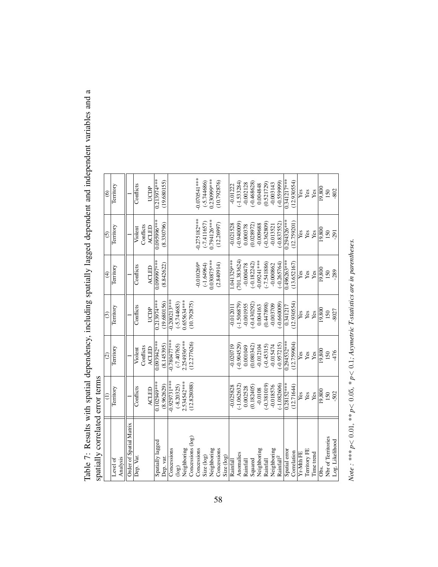| spatially correlated error terms |                |                 |                |               |                |                   |
|----------------------------------|----------------|-----------------|----------------|---------------|----------------|-------------------|
|                                  |                | $\widehat{c}$   | $\widehat{c}$  | $\widehat{f}$ | $\odot$        | $\widehat{\circ}$ |
| Analysis<br>Level of             | Territory      | Territory       | Territory      | Territory     | Territory      | Territory         |
| Order of Spatial Matrix          |                |                 |                |               |                |                   |
| Dep. Var.                        | Conflicts      | Violent         | Conflicts      | Conflicts     | Violent        | Conflicts         |
|                                  |                | Conflicts       |                |               | Conflicts      |                   |
|                                  | ACLED          | <b>ACLED</b>    | UCDP           | ACLED         | ACLED          | UCDP              |
| Spatially lagged                 | 0.102949***    | 0.093942***     | $0.213974***$  | *****466660'0 | ***966560'0    | $0.213974***$     |
| Dep. var.                        | (8.962629)     | (8.145395)      | (19.680156)    | (8.842622)    | (8.330796)     | (19.680155)       |
| Concessions                      | $-0.929731***$ | $-0.780477$ *** | $-0.200213***$ |               |                |                   |
| log(                             | $(-8.20325)$   | $(-7.40765)$    | $(-5.744683)$  |               |                |                   |
| Neighboring                      | 2.534542***    | 2.254936***     | 1.655634***    |               |                |                   |
| Concessions (log)                | (12.828088)    | (12.277626)     | (10.792875)    |               |                |                   |
| Concessions                      |                |                 |                | $-0.010269*$  | $-0.275182***$ | $-0.070541$ ***   |
| Size (log)                       |                |                 |                | $(-1.64964)$  | $(-7.411657)$  | $-5.744686$       |
| Neighboring                      |                |                 |                | $0.030875***$ | 0.794126***    | 0.230999***       |
| Concessions                      |                |                 |                | (2.840914)    | (12.26997)     | (10.792876)       |
| Size (log)                       |                |                 |                |               |                |                   |
| Rainfall                         | $-0.025828$    | $-0.020719$     | $-0.01201$     | 1.041329***   | $-0.021528$    | $-0.01222$        |
| Anomalies                        | $-1.062632$    | $(-0.904529)$   | $(-1.506879)$  | (701.383624)  | $(-0.940009)$  | $(-1.533284)$     |
| Rainfall                         | 0.002528       | 0.001049        | $-0.001955$    | $-0.000478$   | 0.000378       | $-0.002128$       |
| Squared                          | 0.182405)      | (0.080342)      | $(-0.430292)$  | $-0.182242$   | (0.028972)     | $(-0.468628)$     |
| Neighboring                      | $-0.0108$      | $-0.012104$     | 0.004163       | $0.09241***$  | $-0.009688$    | 0.004848          |
| Rainfall                         | $(-0.381019)$  | $(-0.45315)$    | (0.447898)     | $-7.541886$   | $(-0.362809)$  | (0.521729)        |
| Neighboring                      | -0.018576      | $-0.015474$     | -0.003709      | -0.000862     | $-0.013521$    | $-0.003143$       |
| Rainfall <sup>2</sup>            | $-1.082606$    | $-0.957215$     | $-0.660009$    | $-0.265764$   | $-0.837552$    | $-0.559999$       |
| Spatial error                    | $0.28152***$   | 0.294532***     | 0.341217       | 0.496263***   | 1.294326***    | $0.341217***$     |
| Correlation                      | (12.71644)     | (12.759904)     | (12.930554)    | (13.652167)   | 12.759201)     | (12.930554)       |
| Yr-Mth FE                        | Yes            | Yes             | Yes            | Yes           | Yes            | Yes               |
| Territory FE                     | Yes            | Yes             | Yes            | Yes           | Yes            | Yes               |
| Time trend                       | Yes            | Yes             | Yes            | Yes           | Yes            | Yes               |
| Ōbs.                             | 0.800          | 19,800          | 19,800         | 19,800        | 19,800         | 19,800            |
| Nbr of Territories               | 150            | 150             | 150            | 150           | 150            | 150               |
| Log. Likelihood                  | 502            | $-476$          | $-8027$        | -289          | $-291$         | -802              |
|                                  |                |                 |                |               |                |                   |

Table 7: Results with spatial dependency, including spatially lagged dependent and independent variables and a Table 7: Results with spatial dependency, including spatially lagged dependent and independent variables and a

58

*Note : \*\*\* p* < 0.01*, \*\* p* < 0.05*, \* p* <

0.1*; Asymetric T-statistics are in parentheses.*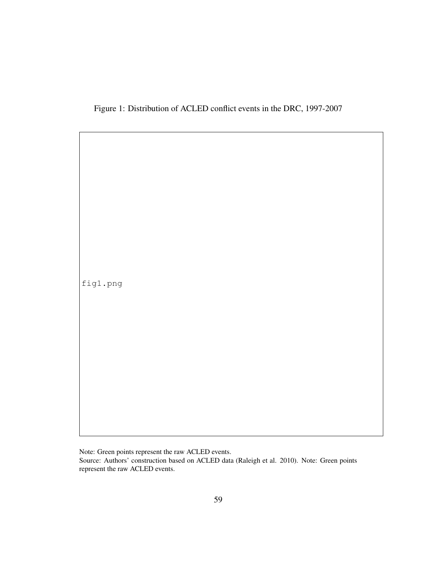Figure 1: Distribution of ACLED conflict events in the DRC, 1997-2007

fig1.png

Note: Green points represent the raw ACLED events. Source: Authors' construction based on ACLED data (Raleigh et al. 2010). Note: Green points represent the raw ACLED events.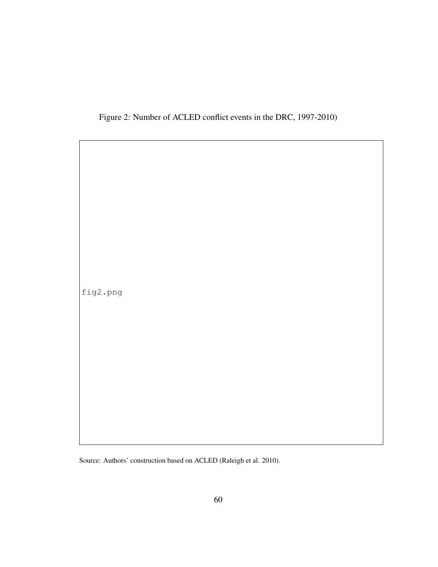

fig2.png

Source: Authors' construction based on ACLED (Raleigh et al. 2010).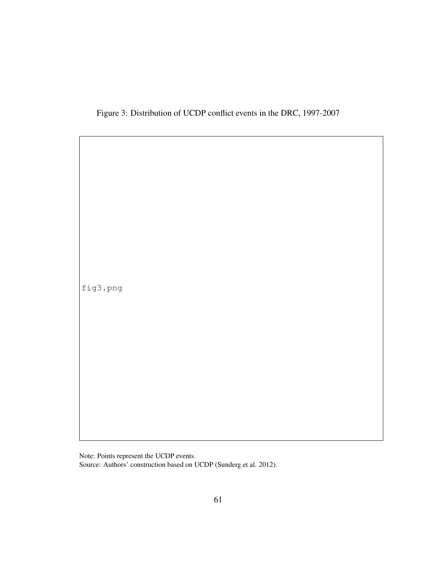Figure 3: Distribution of UCDP conflict events in the DRC, 1997-2007

fig3.png

Note: Points represent the UCDP events.

Source: Authors' construction based on UCDP (Sunderg et al. 2012).